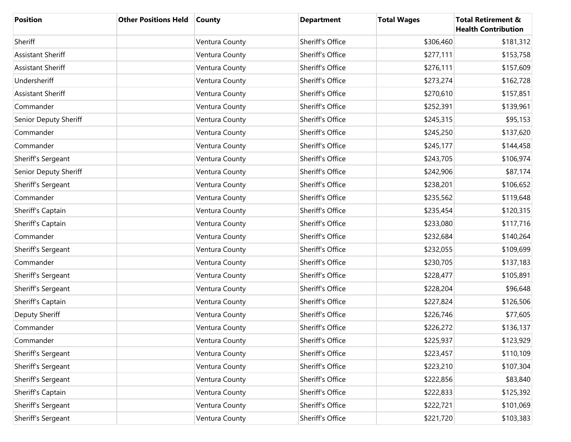| <b>Position</b>          | <b>Other Positions Held</b> | <b>County</b>  | <b>Department</b> | <b>Total Wages</b> | <b>Total Retirement &amp;</b><br><b>Health Contribution</b> |
|--------------------------|-----------------------------|----------------|-------------------|--------------------|-------------------------------------------------------------|
| Sheriff                  |                             | Ventura County | Sheriff's Office  | \$306,460          | \$181,312                                                   |
| <b>Assistant Sheriff</b> |                             | Ventura County | Sheriff's Office  | \$277,111          | \$153,758                                                   |
| <b>Assistant Sheriff</b> |                             | Ventura County | Sheriff's Office  | \$276,111          | \$157,609                                                   |
| Undersheriff             |                             | Ventura County | Sheriff's Office  | \$273,274          | \$162,728                                                   |
| <b>Assistant Sheriff</b> |                             | Ventura County | Sheriff's Office  | \$270,610          | \$157,851                                                   |
| Commander                |                             | Ventura County | Sheriff's Office  | \$252,391          | \$139,961                                                   |
| Senior Deputy Sheriff    |                             | Ventura County | Sheriff's Office  | \$245,315          | \$95,153                                                    |
| Commander                |                             | Ventura County | Sheriff's Office  | \$245,250          | \$137,620                                                   |
| Commander                |                             | Ventura County | Sheriff's Office  | \$245,177          | \$144,458                                                   |
| Sheriff's Sergeant       |                             | Ventura County | Sheriff's Office  | \$243,705          | \$106,974                                                   |
| Senior Deputy Sheriff    |                             | Ventura County | Sheriff's Office  | \$242,906          | \$87,174                                                    |
| Sheriff's Sergeant       |                             | Ventura County | Sheriff's Office  | \$238,201          | \$106,652                                                   |
| Commander                |                             | Ventura County | Sheriff's Office  | \$235,562          | \$119,648                                                   |
| Sheriff's Captain        |                             | Ventura County | Sheriff's Office  | \$235,454          | \$120,315                                                   |
| Sheriff's Captain        |                             | Ventura County | Sheriff's Office  | \$233,080          | \$117,716                                                   |
| Commander                |                             | Ventura County | Sheriff's Office  | \$232,684          | \$140,264                                                   |
| Sheriff's Sergeant       |                             | Ventura County | Sheriff's Office  | \$232,055          | \$109,699                                                   |
| Commander                |                             | Ventura County | Sheriff's Office  | \$230,705          | \$137,183                                                   |
| Sheriff's Sergeant       |                             | Ventura County | Sheriff's Office  | \$228,477          | \$105,891                                                   |
| Sheriff's Sergeant       |                             | Ventura County | Sheriff's Office  | \$228,204          | \$96,648                                                    |
| Sheriff's Captain        |                             | Ventura County | Sheriff's Office  | \$227,824          | \$126,506                                                   |
| Deputy Sheriff           |                             | Ventura County | Sheriff's Office  | \$226,746          | \$77,605                                                    |
| Commander                |                             | Ventura County | Sheriff's Office  | \$226,272          | \$136,137                                                   |
| Commander                |                             | Ventura County | Sheriff's Office  | \$225,937          | \$123,929                                                   |
| Sheriff's Sergeant       |                             | Ventura County | Sheriff's Office  | \$223,457          | \$110,109                                                   |
| Sheriff's Sergeant       |                             | Ventura County | Sheriff's Office  | \$223,210          | \$107,304                                                   |
| Sheriff's Sergeant       |                             | Ventura County | Sheriff's Office  | \$222,856          | \$83,840                                                    |
| Sheriff's Captain        |                             | Ventura County | Sheriff's Office  | \$222,833          | \$125,392                                                   |
| Sheriff's Sergeant       |                             | Ventura County | Sheriff's Office  | \$222,721          | \$101,069                                                   |
| Sheriff's Sergeant       |                             | Ventura County | Sheriff's Office  | \$221,720          | \$103,383                                                   |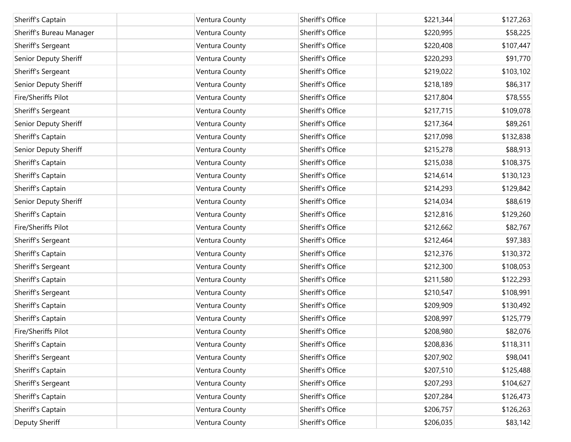| Sheriff's Captain        | Ventura County | Sheriff's Office | \$221,344 | \$127,263 |
|--------------------------|----------------|------------------|-----------|-----------|
| Sheriff's Bureau Manager | Ventura County | Sheriff's Office | \$220,995 | \$58,225  |
| Sheriff's Sergeant       | Ventura County | Sheriff's Office | \$220,408 | \$107,447 |
| Senior Deputy Sheriff    | Ventura County | Sheriff's Office | \$220,293 | \$91,770  |
| Sheriff's Sergeant       | Ventura County | Sheriff's Office | \$219,022 | \$103,102 |
| Senior Deputy Sheriff    | Ventura County | Sheriff's Office | \$218,189 | \$86,317  |
| Fire/Sheriffs Pilot      | Ventura County | Sheriff's Office | \$217,804 | \$78,555  |
| Sheriff's Sergeant       | Ventura County | Sheriff's Office | \$217,715 | \$109,078 |
| Senior Deputy Sheriff    | Ventura County | Sheriff's Office | \$217,364 | \$89,261  |
| Sheriff's Captain        | Ventura County | Sheriff's Office | \$217,098 | \$132,838 |
| Senior Deputy Sheriff    | Ventura County | Sheriff's Office | \$215,278 | \$88,913  |
| Sheriff's Captain        | Ventura County | Sheriff's Office | \$215,038 | \$108,375 |
| Sheriff's Captain        | Ventura County | Sheriff's Office | \$214,614 | \$130,123 |
| Sheriff's Captain        | Ventura County | Sheriff's Office | \$214,293 | \$129,842 |
| Senior Deputy Sheriff    | Ventura County | Sheriff's Office | \$214,034 | \$88,619  |
| Sheriff's Captain        | Ventura County | Sheriff's Office | \$212,816 | \$129,260 |
| Fire/Sheriffs Pilot      | Ventura County | Sheriff's Office | \$212,662 | \$82,767  |
| Sheriff's Sergeant       | Ventura County | Sheriff's Office | \$212,464 | \$97,383  |
| Sheriff's Captain        | Ventura County | Sheriff's Office | \$212,376 | \$130,372 |
| Sheriff's Sergeant       | Ventura County | Sheriff's Office | \$212,300 | \$108,053 |
| Sheriff's Captain        | Ventura County | Sheriff's Office | \$211,580 | \$122,293 |
| Sheriff's Sergeant       | Ventura County | Sheriff's Office | \$210,547 | \$108,991 |
| Sheriff's Captain        | Ventura County | Sheriff's Office | \$209,909 | \$130,492 |
| Sheriff's Captain        | Ventura County | Sheriff's Office | \$208,997 | \$125,779 |
| Fire/Sheriffs Pilot      | Ventura County | Sheriff's Office | \$208,980 | \$82,076  |
| Sheriff's Captain        | Ventura County | Sheriff's Office | \$208,836 | \$118,311 |
| Sheriff's Sergeant       | Ventura County | Sheriff's Office | \$207,902 | \$98,041  |
| Sheriff's Captain        | Ventura County | Sheriff's Office | \$207,510 | \$125,488 |
| Sheriff's Sergeant       | Ventura County | Sheriff's Office | \$207,293 | \$104,627 |
| Sheriff's Captain        | Ventura County | Sheriff's Office | \$207,284 | \$126,473 |
| Sheriff's Captain        | Ventura County | Sheriff's Office | \$206,757 | \$126,263 |
| Deputy Sheriff           | Ventura County | Sheriff's Office | \$206,035 | \$83,142  |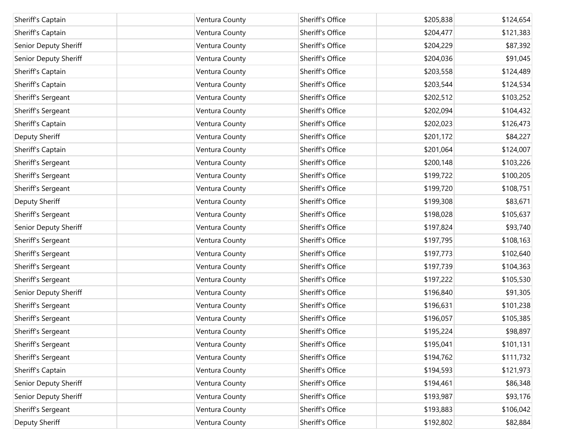| Sheriff's Captain     | Ventura County | Sheriff's Office | \$205,838 | \$124,654 |
|-----------------------|----------------|------------------|-----------|-----------|
| Sheriff's Captain     | Ventura County | Sheriff's Office | \$204,477 | \$121,383 |
| Senior Deputy Sheriff | Ventura County | Sheriff's Office | \$204,229 | \$87,392  |
| Senior Deputy Sheriff | Ventura County | Sheriff's Office | \$204,036 | \$91,045  |
| Sheriff's Captain     | Ventura County | Sheriff's Office | \$203,558 | \$124,489 |
| Sheriff's Captain     | Ventura County | Sheriff's Office | \$203,544 | \$124,534 |
| Sheriff's Sergeant    | Ventura County | Sheriff's Office | \$202,512 | \$103,252 |
| Sheriff's Sergeant    | Ventura County | Sheriff's Office | \$202,094 | \$104,432 |
| Sheriff's Captain     | Ventura County | Sheriff's Office | \$202,023 | \$126,473 |
| Deputy Sheriff        | Ventura County | Sheriff's Office | \$201,172 | \$84,227  |
| Sheriff's Captain     | Ventura County | Sheriff's Office | \$201,064 | \$124,007 |
| Sheriff's Sergeant    | Ventura County | Sheriff's Office | \$200,148 | \$103,226 |
| Sheriff's Sergeant    | Ventura County | Sheriff's Office | \$199,722 | \$100,205 |
| Sheriff's Sergeant    | Ventura County | Sheriff's Office | \$199,720 | \$108,751 |
| Deputy Sheriff        | Ventura County | Sheriff's Office | \$199,308 | \$83,671  |
| Sheriff's Sergeant    | Ventura County | Sheriff's Office | \$198,028 | \$105,637 |
| Senior Deputy Sheriff | Ventura County | Sheriff's Office | \$197,824 | \$93,740  |
| Sheriff's Sergeant    | Ventura County | Sheriff's Office | \$197,795 | \$108,163 |
| Sheriff's Sergeant    | Ventura County | Sheriff's Office | \$197,773 | \$102,640 |
| Sheriff's Sergeant    | Ventura County | Sheriff's Office | \$197,739 | \$104,363 |
| Sheriff's Sergeant    | Ventura County | Sheriff's Office | \$197,222 | \$105,530 |
| Senior Deputy Sheriff | Ventura County | Sheriff's Office | \$196,840 | \$91,305  |
| Sheriff's Sergeant    | Ventura County | Sheriff's Office | \$196,631 | \$101,238 |
| Sheriff's Sergeant    | Ventura County | Sheriff's Office | \$196,057 | \$105,385 |
| Sheriff's Sergeant    | Ventura County | Sheriff's Office | \$195,224 | \$98,897  |
| Sheriff's Sergeant    | Ventura County | Sheriff's Office | \$195,041 | \$101,131 |
| Sheriff's Sergeant    | Ventura County | Sheriff's Office | \$194,762 | \$111,732 |
| Sheriff's Captain     | Ventura County | Sheriff's Office | \$194,593 | \$121,973 |
| Senior Deputy Sheriff | Ventura County | Sheriff's Office | \$194,461 | \$86,348  |
| Senior Deputy Sheriff | Ventura County | Sheriff's Office | \$193,987 | \$93,176  |
| Sheriff's Sergeant    | Ventura County | Sheriff's Office | \$193,883 | \$106,042 |
| Deputy Sheriff        | Ventura County | Sheriff's Office | \$192,802 | \$82,884  |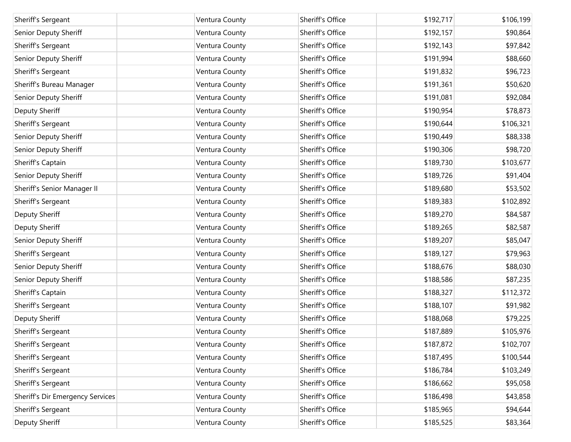| Sheriff's Sergeant               | Ventura County | Sheriff's Office | \$192,717 | \$106,199 |
|----------------------------------|----------------|------------------|-----------|-----------|
| Senior Deputy Sheriff            | Ventura County | Sheriff's Office | \$192,157 | \$90,864  |
| Sheriff's Sergeant               | Ventura County | Sheriff's Office | \$192,143 | \$97,842  |
| Senior Deputy Sheriff            | Ventura County | Sheriff's Office | \$191,994 | \$88,660  |
| Sheriff's Sergeant               | Ventura County | Sheriff's Office | \$191,832 | \$96,723  |
| Sheriff's Bureau Manager         | Ventura County | Sheriff's Office | \$191,361 | \$50,620  |
| Senior Deputy Sheriff            | Ventura County | Sheriff's Office | \$191,081 | \$92,084  |
| Deputy Sheriff                   | Ventura County | Sheriff's Office | \$190,954 | \$78,873  |
| Sheriff's Sergeant               | Ventura County | Sheriff's Office | \$190,644 | \$106,321 |
| Senior Deputy Sheriff            | Ventura County | Sheriff's Office | \$190,449 | \$88,338  |
| Senior Deputy Sheriff            | Ventura County | Sheriff's Office | \$190,306 | \$98,720  |
| Sheriff's Captain                | Ventura County | Sheriff's Office | \$189,730 | \$103,677 |
| Senior Deputy Sheriff            | Ventura County | Sheriff's Office | \$189,726 | \$91,404  |
| Sheriff's Senior Manager II      | Ventura County | Sheriff's Office | \$189,680 | \$53,502  |
| Sheriff's Sergeant               | Ventura County | Sheriff's Office | \$189,383 | \$102,892 |
| Deputy Sheriff                   | Ventura County | Sheriff's Office | \$189,270 | \$84,587  |
| Deputy Sheriff                   | Ventura County | Sheriff's Office | \$189,265 | \$82,587  |
| Senior Deputy Sheriff            | Ventura County | Sheriff's Office | \$189,207 | \$85,047  |
| Sheriff's Sergeant               | Ventura County | Sheriff's Office | \$189,127 | \$79,963  |
| Senior Deputy Sheriff            | Ventura County | Sheriff's Office | \$188,676 | \$88,030  |
| Senior Deputy Sheriff            | Ventura County | Sheriff's Office | \$188,586 | \$87,235  |
| Sheriff's Captain                | Ventura County | Sheriff's Office | \$188,327 | \$112,372 |
| Sheriff's Sergeant               | Ventura County | Sheriff's Office | \$188,107 | \$91,982  |
| Deputy Sheriff                   | Ventura County | Sheriff's Office | \$188,068 | \$79,225  |
| Sheriff's Sergeant               | Ventura County | Sheriff's Office | \$187,889 | \$105,976 |
| Sheriff's Sergeant               | Ventura County | Sheriff's Office | \$187,872 | \$102,707 |
| Sheriff's Sergeant               | Ventura County | Sheriff's Office | \$187,495 | \$100,544 |
| Sheriff's Sergeant               | Ventura County | Sheriff's Office | \$186,784 | \$103,249 |
| Sheriff's Sergeant               | Ventura County | Sheriff's Office | \$186,662 | \$95,058  |
| Sheriff's Dir Emergency Services | Ventura County | Sheriff's Office | \$186,498 | \$43,858  |
| Sheriff's Sergeant               | Ventura County | Sheriff's Office | \$185,965 | \$94,644  |
| Deputy Sheriff                   | Ventura County | Sheriff's Office | \$185,525 | \$83,364  |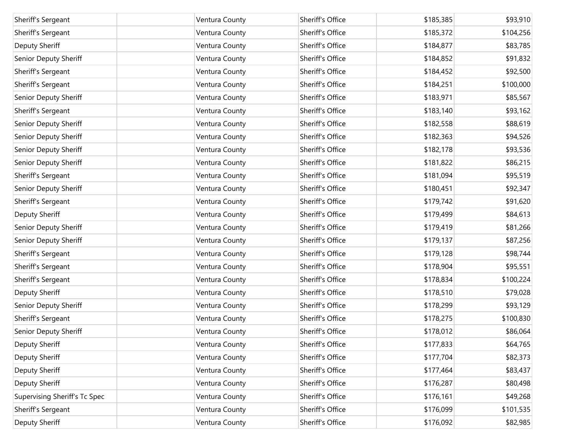| Sheriff's Sergeant            | Ventura County | Sheriff's Office | \$185,385 | \$93,910  |
|-------------------------------|----------------|------------------|-----------|-----------|
| Sheriff's Sergeant            | Ventura County | Sheriff's Office | \$185,372 | \$104,256 |
| Deputy Sheriff                | Ventura County | Sheriff's Office | \$184,877 | \$83,785  |
| Senior Deputy Sheriff         | Ventura County | Sheriff's Office | \$184,852 | \$91,832  |
| Sheriff's Sergeant            | Ventura County | Sheriff's Office | \$184,452 | \$92,500  |
| Sheriff's Sergeant            | Ventura County | Sheriff's Office | \$184,251 | \$100,000 |
| Senior Deputy Sheriff         | Ventura County | Sheriff's Office | \$183,971 | \$85,567  |
| Sheriff's Sergeant            | Ventura County | Sheriff's Office | \$183,140 | \$93,162  |
| Senior Deputy Sheriff         | Ventura County | Sheriff's Office | \$182,558 | \$88,619  |
| Senior Deputy Sheriff         | Ventura County | Sheriff's Office | \$182,363 | \$94,526  |
| Senior Deputy Sheriff         | Ventura County | Sheriff's Office | \$182,178 | \$93,536  |
| Senior Deputy Sheriff         | Ventura County | Sheriff's Office | \$181,822 | \$86,215  |
| Sheriff's Sergeant            | Ventura County | Sheriff's Office | \$181,094 | \$95,519  |
| Senior Deputy Sheriff         | Ventura County | Sheriff's Office | \$180,451 | \$92,347  |
| Sheriff's Sergeant            | Ventura County | Sheriff's Office | \$179,742 | \$91,620  |
| Deputy Sheriff                | Ventura County | Sheriff's Office | \$179,499 | \$84,613  |
| Senior Deputy Sheriff         | Ventura County | Sheriff's Office | \$179,419 | \$81,266  |
| Senior Deputy Sheriff         | Ventura County | Sheriff's Office | \$179,137 | \$87,256  |
| Sheriff's Sergeant            | Ventura County | Sheriff's Office | \$179,128 | \$98,744  |
| Sheriff's Sergeant            | Ventura County | Sheriff's Office | \$178,904 | \$95,551  |
| Sheriff's Sergeant            | Ventura County | Sheriff's Office | \$178,834 | \$100,224 |
| Deputy Sheriff                | Ventura County | Sheriff's Office | \$178,510 | \$79,028  |
| Senior Deputy Sheriff         | Ventura County | Sheriff's Office | \$178,299 | \$93,129  |
| Sheriff's Sergeant            | Ventura County | Sheriff's Office | \$178,275 | \$100,830 |
| Senior Deputy Sheriff         | Ventura County | Sheriff's Office | \$178,012 | \$86,064  |
| Deputy Sheriff                | Ventura County | Sheriff's Office | \$177,833 | \$64,765  |
| Deputy Sheriff                | Ventura County | Sheriff's Office | \$177,704 | \$82,373  |
| Deputy Sheriff                | Ventura County | Sheriff's Office | \$177,464 | \$83,437  |
| Deputy Sheriff                | Ventura County | Sheriff's Office | \$176,287 | \$80,498  |
| Supervising Sheriff's Tc Spec | Ventura County | Sheriff's Office | \$176,161 | \$49,268  |
| Sheriff's Sergeant            | Ventura County | Sheriff's Office | \$176,099 | \$101,535 |
| Deputy Sheriff                | Ventura County | Sheriff's Office | \$176,092 | \$82,985  |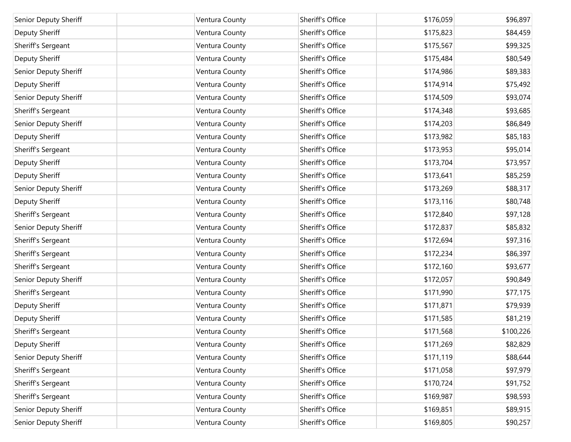| Senior Deputy Sheriff | Ventura County | Sheriff's Office | \$176,059 | \$96,897  |
|-----------------------|----------------|------------------|-----------|-----------|
| Deputy Sheriff        | Ventura County | Sheriff's Office | \$175,823 | \$84,459  |
| Sheriff's Sergeant    | Ventura County | Sheriff's Office | \$175,567 | \$99,325  |
| Deputy Sheriff        | Ventura County | Sheriff's Office | \$175,484 | \$80,549  |
| Senior Deputy Sheriff | Ventura County | Sheriff's Office | \$174,986 | \$89,383  |
| Deputy Sheriff        | Ventura County | Sheriff's Office | \$174,914 | \$75,492  |
| Senior Deputy Sheriff | Ventura County | Sheriff's Office | \$174,509 | \$93,074  |
| Sheriff's Sergeant    | Ventura County | Sheriff's Office | \$174,348 | \$93,685  |
| Senior Deputy Sheriff | Ventura County | Sheriff's Office | \$174,203 | \$86,849  |
| Deputy Sheriff        | Ventura County | Sheriff's Office | \$173,982 | \$85,183  |
| Sheriff's Sergeant    | Ventura County | Sheriff's Office | \$173,953 | \$95,014  |
| Deputy Sheriff        | Ventura County | Sheriff's Office | \$173,704 | \$73,957  |
| Deputy Sheriff        | Ventura County | Sheriff's Office | \$173,641 | \$85,259  |
| Senior Deputy Sheriff | Ventura County | Sheriff's Office | \$173,269 | \$88,317  |
| Deputy Sheriff        | Ventura County | Sheriff's Office | \$173,116 | \$80,748  |
| Sheriff's Sergeant    | Ventura County | Sheriff's Office | \$172,840 | \$97,128  |
| Senior Deputy Sheriff | Ventura County | Sheriff's Office | \$172,837 | \$85,832  |
| Sheriff's Sergeant    | Ventura County | Sheriff's Office | \$172,694 | \$97,316  |
| Sheriff's Sergeant    | Ventura County | Sheriff's Office | \$172,234 | \$86,397  |
| Sheriff's Sergeant    | Ventura County | Sheriff's Office | \$172,160 | \$93,677  |
| Senior Deputy Sheriff | Ventura County | Sheriff's Office | \$172,057 | \$90,849  |
| Sheriff's Sergeant    | Ventura County | Sheriff's Office | \$171,990 | \$77,175  |
| Deputy Sheriff        | Ventura County | Sheriff's Office | \$171,871 | \$79,939  |
| Deputy Sheriff        | Ventura County | Sheriff's Office | \$171,585 | \$81,219  |
| Sheriff's Sergeant    | Ventura County | Sheriff's Office | \$171,568 | \$100,226 |
| Deputy Sheriff        | Ventura County | Sheriff's Office | \$171,269 | \$82,829  |
| Senior Deputy Sheriff | Ventura County | Sheriff's Office | \$171,119 | \$88,644  |
| Sheriff's Sergeant    | Ventura County | Sheriff's Office | \$171,058 | \$97,979  |
| Sheriff's Sergeant    | Ventura County | Sheriff's Office | \$170,724 | \$91,752  |
| Sheriff's Sergeant    | Ventura County | Sheriff's Office | \$169,987 | \$98,593  |
| Senior Deputy Sheriff | Ventura County | Sheriff's Office | \$169,851 | \$89,915  |
| Senior Deputy Sheriff | Ventura County | Sheriff's Office | \$169,805 | \$90,257  |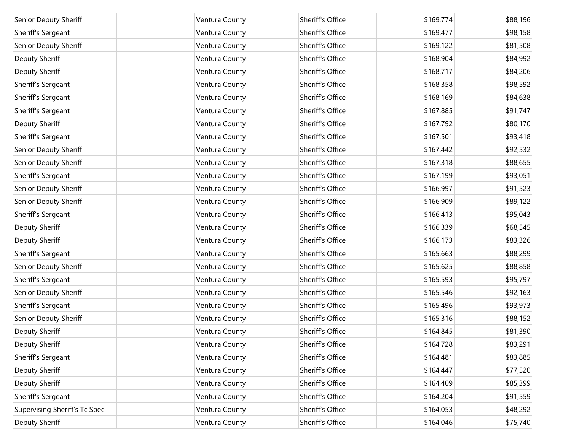| Senior Deputy Sheriff         | Ventura County | Sheriff's Office | \$169,774 | \$88,196 |
|-------------------------------|----------------|------------------|-----------|----------|
| Sheriff's Sergeant            | Ventura County | Sheriff's Office | \$169,477 | \$98,158 |
| Senior Deputy Sheriff         | Ventura County | Sheriff's Office | \$169,122 | \$81,508 |
| Deputy Sheriff                | Ventura County | Sheriff's Office | \$168,904 | \$84,992 |
| Deputy Sheriff                | Ventura County | Sheriff's Office | \$168,717 | \$84,206 |
| Sheriff's Sergeant            | Ventura County | Sheriff's Office | \$168,358 | \$98,592 |
| Sheriff's Sergeant            | Ventura County | Sheriff's Office | \$168,169 | \$84,638 |
| Sheriff's Sergeant            | Ventura County | Sheriff's Office | \$167,885 | \$91,747 |
| Deputy Sheriff                | Ventura County | Sheriff's Office | \$167,792 | \$80,170 |
| Sheriff's Sergeant            | Ventura County | Sheriff's Office | \$167,501 | \$93,418 |
| Senior Deputy Sheriff         | Ventura County | Sheriff's Office | \$167,442 | \$92,532 |
| Senior Deputy Sheriff         | Ventura County | Sheriff's Office | \$167,318 | \$88,655 |
| Sheriff's Sergeant            | Ventura County | Sheriff's Office | \$167,199 | \$93,051 |
| Senior Deputy Sheriff         | Ventura County | Sheriff's Office | \$166,997 | \$91,523 |
| Senior Deputy Sheriff         | Ventura County | Sheriff's Office | \$166,909 | \$89,122 |
| Sheriff's Sergeant            | Ventura County | Sheriff's Office | \$166,413 | \$95,043 |
| Deputy Sheriff                | Ventura County | Sheriff's Office | \$166,339 | \$68,545 |
| Deputy Sheriff                | Ventura County | Sheriff's Office | \$166,173 | \$83,326 |
| Sheriff's Sergeant            | Ventura County | Sheriff's Office | \$165,663 | \$88,299 |
| Senior Deputy Sheriff         | Ventura County | Sheriff's Office | \$165,625 | \$88,858 |
| Sheriff's Sergeant            | Ventura County | Sheriff's Office | \$165,593 | \$95,797 |
| Senior Deputy Sheriff         | Ventura County | Sheriff's Office | \$165,546 | \$92,163 |
| Sheriff's Sergeant            | Ventura County | Sheriff's Office | \$165,496 | \$93,973 |
| Senior Deputy Sheriff         | Ventura County | Sheriff's Office | \$165,316 | \$88,152 |
| Deputy Sheriff                | Ventura County | Sheriff's Office | \$164,845 | \$81,390 |
| Deputy Sheriff                | Ventura County | Sheriff's Office | \$164,728 | \$83,291 |
| Sheriff's Sergeant            | Ventura County | Sheriff's Office | \$164,481 | \$83,885 |
| Deputy Sheriff                | Ventura County | Sheriff's Office | \$164,447 | \$77,520 |
| Deputy Sheriff                | Ventura County | Sheriff's Office | \$164,409 | \$85,399 |
| Sheriff's Sergeant            | Ventura County | Sheriff's Office | \$164,204 | \$91,559 |
| Supervising Sheriff's Tc Spec | Ventura County | Sheriff's Office | \$164,053 | \$48,292 |
| Deputy Sheriff                | Ventura County | Sheriff's Office | \$164,046 | \$75,740 |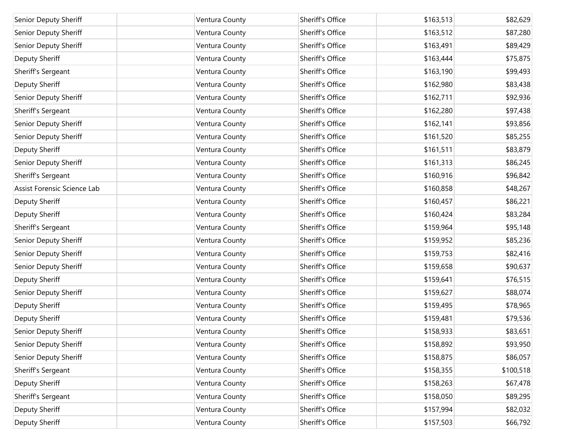| Senior Deputy Sheriff       | Ventura County | Sheriff's Office | \$163,513 | \$82,629  |
|-----------------------------|----------------|------------------|-----------|-----------|
| Senior Deputy Sheriff       | Ventura County | Sheriff's Office | \$163,512 | \$87,280  |
| Senior Deputy Sheriff       | Ventura County | Sheriff's Office | \$163,491 | \$89,429  |
| Deputy Sheriff              | Ventura County | Sheriff's Office | \$163,444 | \$75,875  |
| Sheriff's Sergeant          | Ventura County | Sheriff's Office | \$163,190 | \$99,493  |
| Deputy Sheriff              | Ventura County | Sheriff's Office | \$162,980 | \$83,438  |
| Senior Deputy Sheriff       | Ventura County | Sheriff's Office | \$162,711 | \$92,936  |
| Sheriff's Sergeant          | Ventura County | Sheriff's Office | \$162,280 | \$97,438  |
| Senior Deputy Sheriff       | Ventura County | Sheriff's Office | \$162,141 | \$93,856  |
| Senior Deputy Sheriff       | Ventura County | Sheriff's Office | \$161,520 | \$85,255  |
| Deputy Sheriff              | Ventura County | Sheriff's Office | \$161,511 | \$83,879  |
| Senior Deputy Sheriff       | Ventura County | Sheriff's Office | \$161,313 | \$86,245  |
| Sheriff's Sergeant          | Ventura County | Sheriff's Office | \$160,916 | \$96,842  |
| Assist Forensic Science Lab | Ventura County | Sheriff's Office | \$160,858 | \$48,267  |
| Deputy Sheriff              | Ventura County | Sheriff's Office | \$160,457 | \$86,221  |
| Deputy Sheriff              | Ventura County | Sheriff's Office | \$160,424 | \$83,284  |
| Sheriff's Sergeant          | Ventura County | Sheriff's Office | \$159,964 | \$95,148  |
| Senior Deputy Sheriff       | Ventura County | Sheriff's Office | \$159,952 | \$85,236  |
| Senior Deputy Sheriff       | Ventura County | Sheriff's Office | \$159,753 | \$82,416  |
| Senior Deputy Sheriff       | Ventura County | Sheriff's Office | \$159,658 | \$90,637  |
| Deputy Sheriff              | Ventura County | Sheriff's Office | \$159,641 | \$76,515  |
| Senior Deputy Sheriff       | Ventura County | Sheriff's Office | \$159,627 | \$88,074  |
| Deputy Sheriff              | Ventura County | Sheriff's Office | \$159,495 | \$78,965  |
| Deputy Sheriff              | Ventura County | Sheriff's Office | \$159,481 | \$79,536  |
| Senior Deputy Sheriff       | Ventura County | Sheriff's Office | \$158,933 | \$83,651  |
| Senior Deputy Sheriff       | Ventura County | Sheriff's Office | \$158,892 | \$93,950  |
| Senior Deputy Sheriff       | Ventura County | Sheriff's Office | \$158,875 | \$86,057  |
| Sheriff's Sergeant          | Ventura County | Sheriff's Office | \$158,355 | \$100,518 |
| Deputy Sheriff              | Ventura County | Sheriff's Office | \$158,263 | \$67,478  |
| Sheriff's Sergeant          | Ventura County | Sheriff's Office | \$158,050 | \$89,295  |
| Deputy Sheriff              | Ventura County | Sheriff's Office | \$157,994 | \$82,032  |
| Deputy Sheriff              | Ventura County | Sheriff's Office | \$157,503 | \$66,792  |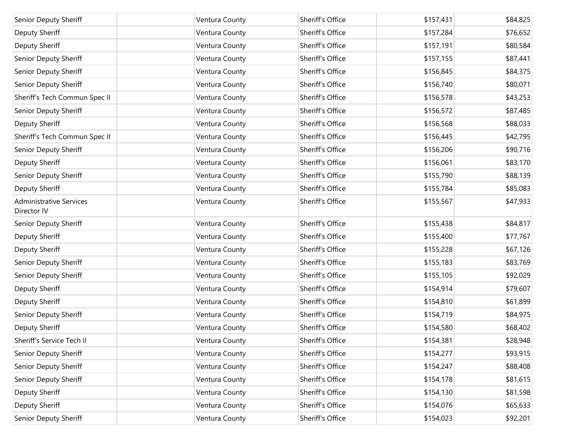| Senior Deputy Sheriff                         | Ventura County | Sheriff's Office | \$157,431 | \$84,825 |
|-----------------------------------------------|----------------|------------------|-----------|----------|
| Deputy Sheriff                                | Ventura County | Sheriff's Office | \$157,284 | \$76,652 |
| Deputy Sheriff                                | Ventura County | Sheriff's Office | \$157,191 | \$80,584 |
| Senior Deputy Sheriff                         | Ventura County | Sheriff's Office | \$157,155 | \$87,441 |
| Senior Deputy Sheriff                         | Ventura County | Sheriff's Office | \$156,845 | \$84,375 |
| Senior Deputy Sheriff                         | Ventura County | Sheriff's Office | \$156,740 | \$80,071 |
| Sheriff's Tech Commun Spec II                 | Ventura County | Sheriff's Office | \$156,578 | \$43,253 |
| Senior Deputy Sheriff                         | Ventura County | Sheriff's Office | \$156,572 | \$87,485 |
| Deputy Sheriff                                | Ventura County | Sheriff's Office | \$156,568 | \$88,033 |
| Sheriff's Tech Commun Spec II                 | Ventura County | Sheriff's Office | \$156,445 | \$42,795 |
| Senior Deputy Sheriff                         | Ventura County | Sheriff's Office | \$156,206 | \$90,716 |
| Deputy Sheriff                                | Ventura County | Sheriff's Office | \$156,061 | \$83,170 |
| Senior Deputy Sheriff                         | Ventura County | Sheriff's Office | \$155,790 | \$88,139 |
| Deputy Sheriff                                | Ventura County | Sheriff's Office | \$155,784 | \$85,083 |
| <b>Administrative Services</b><br>Director IV | Ventura County | Sheriff's Office | \$155,567 | \$47,933 |
| Senior Deputy Sheriff                         | Ventura County | Sheriff's Office | \$155,438 | \$84,817 |
| Deputy Sheriff                                | Ventura County | Sheriff's Office | \$155,400 | \$77,767 |
| Deputy Sheriff                                | Ventura County | Sheriff's Office | \$155,228 | \$67,126 |
| Senior Deputy Sheriff                         | Ventura County | Sheriff's Office | \$155,183 | \$83,769 |
| Senior Deputy Sheriff                         | Ventura County | Sheriff's Office | \$155,105 | \$92,029 |
| Deputy Sheriff                                | Ventura County | Sheriff's Office | \$154,914 | \$79,607 |
| Deputy Sheriff                                | Ventura County | Sheriff's Office | \$154,810 | \$61,899 |
| Senior Deputy Sheriff                         | Ventura County | Sheriff's Office | \$154,719 | \$84,975 |
| Deputy Sheriff                                | Ventura County | Sheriff's Office | \$154,580 | \$68,402 |
| Sheriff's Service Tech II                     | Ventura County | Sheriff's Office | \$154,381 | \$28,948 |
| Senior Deputy Sheriff                         | Ventura County | Sheriff's Office | \$154,277 | \$93,915 |
| Senior Deputy Sheriff                         | Ventura County | Sheriff's Office | \$154,247 | \$88,408 |
| Senior Deputy Sheriff                         | Ventura County | Sheriff's Office | \$154,178 | \$81,615 |
| Deputy Sheriff                                | Ventura County | Sheriff's Office | \$154,130 | \$81,598 |
| Deputy Sheriff                                | Ventura County | Sheriff's Office | \$154,076 | \$65,633 |
| Senior Deputy Sheriff                         | Ventura County | Sheriff's Office | \$154,023 | \$92,201 |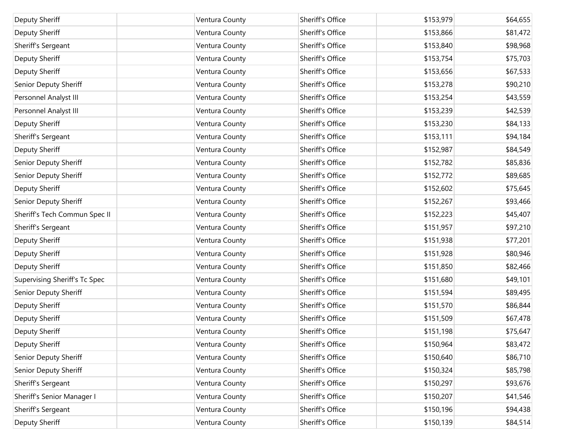| Deputy Sheriff                | Ventura County | Sheriff's Office | \$153,979 | \$64,655 |
|-------------------------------|----------------|------------------|-----------|----------|
| Deputy Sheriff                | Ventura County | Sheriff's Office | \$153,866 | \$81,472 |
| Sheriff's Sergeant            | Ventura County | Sheriff's Office | \$153,840 | \$98,968 |
| Deputy Sheriff                | Ventura County | Sheriff's Office | \$153,754 | \$75,703 |
| Deputy Sheriff                | Ventura County | Sheriff's Office | \$153,656 | \$67,533 |
| Senior Deputy Sheriff         | Ventura County | Sheriff's Office | \$153,278 | \$90,210 |
| Personnel Analyst III         | Ventura County | Sheriff's Office | \$153,254 | \$43,559 |
| Personnel Analyst III         | Ventura County | Sheriff's Office | \$153,239 | \$42,539 |
| Deputy Sheriff                | Ventura County | Sheriff's Office | \$153,230 | \$84,133 |
| Sheriff's Sergeant            | Ventura County | Sheriff's Office | \$153,111 | \$94,184 |
| Deputy Sheriff                | Ventura County | Sheriff's Office | \$152,987 | \$84,549 |
| Senior Deputy Sheriff         | Ventura County | Sheriff's Office | \$152,782 | \$85,836 |
| Senior Deputy Sheriff         | Ventura County | Sheriff's Office | \$152,772 | \$89,685 |
| Deputy Sheriff                | Ventura County | Sheriff's Office | \$152,602 | \$75,645 |
| Senior Deputy Sheriff         | Ventura County | Sheriff's Office | \$152,267 | \$93,466 |
| Sheriff's Tech Commun Spec II | Ventura County | Sheriff's Office | \$152,223 | \$45,407 |
| Sheriff's Sergeant            | Ventura County | Sheriff's Office | \$151,957 | \$97,210 |
| Deputy Sheriff                | Ventura County | Sheriff's Office | \$151,938 | \$77,201 |
| Deputy Sheriff                | Ventura County | Sheriff's Office | \$151,928 | \$80,946 |
| Deputy Sheriff                | Ventura County | Sheriff's Office | \$151,850 | \$82,466 |
| Supervising Sheriff's Tc Spec | Ventura County | Sheriff's Office | \$151,680 | \$49,101 |
| Senior Deputy Sheriff         | Ventura County | Sheriff's Office | \$151,594 | \$89,495 |
| Deputy Sheriff                | Ventura County | Sheriff's Office | \$151,570 | \$86,844 |
| Deputy Sheriff                | Ventura County | Sheriff's Office | \$151,509 | \$67,478 |
| Deputy Sheriff                | Ventura County | Sheriff's Office | \$151,198 | \$75,647 |
| Deputy Sheriff                | Ventura County | Sheriff's Office | \$150,964 | \$83,472 |
| Senior Deputy Sheriff         | Ventura County | Sheriff's Office | \$150,640 | \$86,710 |
| Senior Deputy Sheriff         | Ventura County | Sheriff's Office | \$150,324 | \$85,798 |
| Sheriff's Sergeant            | Ventura County | Sheriff's Office | \$150,297 | \$93,676 |
| Sheriff's Senior Manager I    | Ventura County | Sheriff's Office | \$150,207 | \$41,546 |
| Sheriff's Sergeant            | Ventura County | Sheriff's Office | \$150,196 | \$94,438 |
| Deputy Sheriff                | Ventura County | Sheriff's Office | \$150,139 | \$84,514 |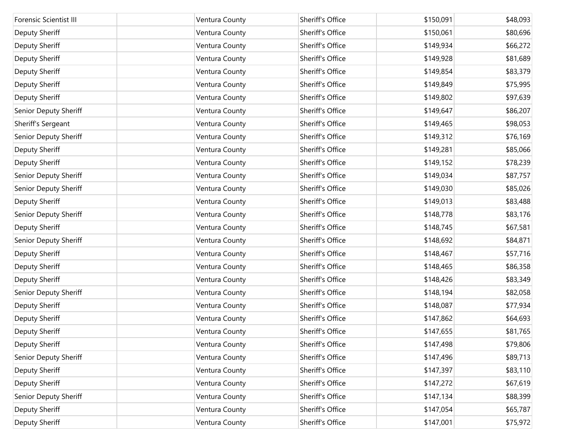| <b>Forensic Scientist III</b> | Ventura County | Sheriff's Office | \$150,091 | \$48,093 |
|-------------------------------|----------------|------------------|-----------|----------|
| Deputy Sheriff                | Ventura County | Sheriff's Office | \$150,061 | \$80,696 |
| Deputy Sheriff                | Ventura County | Sheriff's Office | \$149,934 | \$66,272 |
| Deputy Sheriff                | Ventura County | Sheriff's Office | \$149,928 | \$81,689 |
| Deputy Sheriff                | Ventura County | Sheriff's Office | \$149,854 | \$83,379 |
| Deputy Sheriff                | Ventura County | Sheriff's Office | \$149,849 | \$75,995 |
| Deputy Sheriff                | Ventura County | Sheriff's Office | \$149,802 | \$97,639 |
| Senior Deputy Sheriff         | Ventura County | Sheriff's Office | \$149,647 | \$86,207 |
| Sheriff's Sergeant            | Ventura County | Sheriff's Office | \$149,465 | \$98,053 |
| Senior Deputy Sheriff         | Ventura County | Sheriff's Office | \$149,312 | \$76,169 |
| Deputy Sheriff                | Ventura County | Sheriff's Office | \$149,281 | \$85,066 |
| Deputy Sheriff                | Ventura County | Sheriff's Office | \$149,152 | \$78,239 |
| Senior Deputy Sheriff         | Ventura County | Sheriff's Office | \$149,034 | \$87,757 |
| Senior Deputy Sheriff         | Ventura County | Sheriff's Office | \$149,030 | \$85,026 |
| Deputy Sheriff                | Ventura County | Sheriff's Office | \$149,013 | \$83,488 |
| Senior Deputy Sheriff         | Ventura County | Sheriff's Office | \$148,778 | \$83,176 |
| Deputy Sheriff                | Ventura County | Sheriff's Office | \$148,745 | \$67,581 |
| Senior Deputy Sheriff         | Ventura County | Sheriff's Office | \$148,692 | \$84,871 |
| Deputy Sheriff                | Ventura County | Sheriff's Office | \$148,467 | \$57,716 |
| Deputy Sheriff                | Ventura County | Sheriff's Office | \$148,465 | \$86,358 |
| Deputy Sheriff                | Ventura County | Sheriff's Office | \$148,426 | \$83,349 |
| Senior Deputy Sheriff         | Ventura County | Sheriff's Office | \$148,194 | \$82,058 |
| Deputy Sheriff                | Ventura County | Sheriff's Office | \$148,087 | \$77,934 |
| Deputy Sheriff                | Ventura County | Sheriff's Office | \$147,862 | \$64,693 |
| Deputy Sheriff                | Ventura County | Sheriff's Office | \$147,655 | \$81,765 |
| Deputy Sheriff                | Ventura County | Sheriff's Office | \$147,498 | \$79,806 |
| Senior Deputy Sheriff         | Ventura County | Sheriff's Office | \$147,496 | \$89,713 |
| Deputy Sheriff                | Ventura County | Sheriff's Office | \$147,397 | \$83,110 |
| Deputy Sheriff                | Ventura County | Sheriff's Office | \$147,272 | \$67,619 |
| Senior Deputy Sheriff         | Ventura County | Sheriff's Office | \$147,134 | \$88,399 |
| Deputy Sheriff                | Ventura County | Sheriff's Office | \$147,054 | \$65,787 |
| Deputy Sheriff                | Ventura County | Sheriff's Office | \$147,001 | \$75,972 |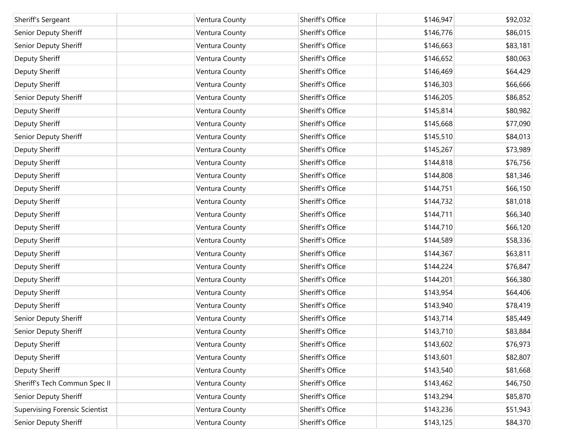| Sheriff's Sergeant                    | Ventura County | Sheriff's Office | \$146,947 | \$92,032 |
|---------------------------------------|----------------|------------------|-----------|----------|
| Senior Deputy Sheriff                 | Ventura County | Sheriff's Office | \$146,776 | \$86,015 |
| Senior Deputy Sheriff                 | Ventura County | Sheriff's Office | \$146,663 | \$83,181 |
| Deputy Sheriff                        | Ventura County | Sheriff's Office | \$146,652 | \$80,063 |
| Deputy Sheriff                        | Ventura County | Sheriff's Office | \$146,469 | \$64,429 |
|                                       |                | Sheriff's Office |           |          |
| Deputy Sheriff                        | Ventura County |                  | \$146,303 | \$66,666 |
| Senior Deputy Sheriff                 | Ventura County | Sheriff's Office | \$146,205 | \$86,852 |
| Deputy Sheriff                        | Ventura County | Sheriff's Office | \$145,814 | \$80,982 |
| Deputy Sheriff                        | Ventura County | Sheriff's Office | \$145,668 | \$77,090 |
| Senior Deputy Sheriff                 | Ventura County | Sheriff's Office | \$145,510 | \$84,013 |
| Deputy Sheriff                        | Ventura County | Sheriff's Office | \$145,267 | \$73,989 |
| Deputy Sheriff                        | Ventura County | Sheriff's Office | \$144,818 | \$76,756 |
| Deputy Sheriff                        | Ventura County | Sheriff's Office | \$144,808 | \$81,346 |
| Deputy Sheriff                        | Ventura County | Sheriff's Office | \$144,751 | \$66,150 |
| Deputy Sheriff                        | Ventura County | Sheriff's Office | \$144,732 | \$81,018 |
| Deputy Sheriff                        | Ventura County | Sheriff's Office | \$144,711 | \$66,340 |
| Deputy Sheriff                        | Ventura County | Sheriff's Office | \$144,710 | \$66,120 |
| Deputy Sheriff                        | Ventura County | Sheriff's Office | \$144,589 | \$58,336 |
| Deputy Sheriff                        | Ventura County | Sheriff's Office | \$144,367 | \$63,811 |
| Deputy Sheriff                        | Ventura County | Sheriff's Office | \$144,224 | \$76,847 |
| Deputy Sheriff                        | Ventura County | Sheriff's Office | \$144,201 | \$66,380 |
| Deputy Sheriff                        | Ventura County | Sheriff's Office | \$143,954 | \$64,406 |
| Deputy Sheriff                        | Ventura County | Sheriff's Office | \$143,940 | \$78,419 |
| Senior Deputy Sheriff                 | Ventura County | Sheriff's Office | \$143,714 | \$85,449 |
| Senior Deputy Sheriff                 | Ventura County | Sheriff's Office | \$143,710 | \$83,884 |
| Deputy Sheriff                        | Ventura County | Sheriff's Office | \$143,602 | \$76,973 |
| Deputy Sheriff                        | Ventura County | Sheriff's Office | \$143,601 | \$82,807 |
| Deputy Sheriff                        | Ventura County | Sheriff's Office | \$143,540 | \$81,668 |
| Sheriff's Tech Commun Spec II         | Ventura County | Sheriff's Office | \$143,462 | \$46,750 |
| Senior Deputy Sheriff                 | Ventura County | Sheriff's Office | \$143,294 | \$85,870 |
| <b>Supervising Forensic Scientist</b> | Ventura County | Sheriff's Office | \$143,236 | \$51,943 |
| Senior Deputy Sheriff                 | Ventura County | Sheriff's Office | \$143,125 | \$84,370 |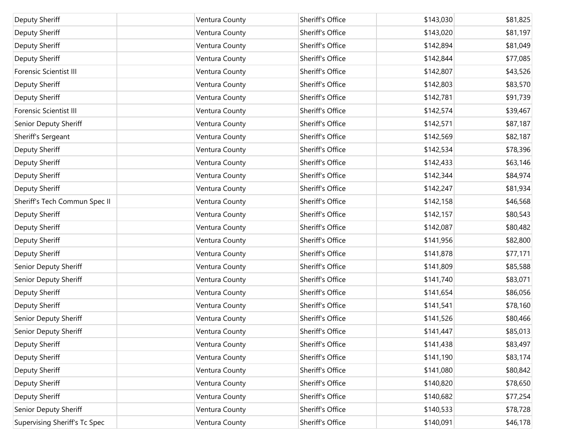| Deputy Sheriff                | Ventura County | Sheriff's Office | \$143,030 | \$81,825 |
|-------------------------------|----------------|------------------|-----------|----------|
|                               |                |                  |           |          |
| Deputy Sheriff                | Ventura County | Sheriff's Office | \$143,020 | \$81,197 |
| Deputy Sheriff                | Ventura County | Sheriff's Office | \$142,894 | \$81,049 |
| Deputy Sheriff                | Ventura County | Sheriff's Office | \$142,844 | \$77,085 |
| Forensic Scientist III        | Ventura County | Sheriff's Office | \$142,807 | \$43,526 |
| Deputy Sheriff                | Ventura County | Sheriff's Office | \$142,803 | \$83,570 |
| Deputy Sheriff                | Ventura County | Sheriff's Office | \$142,781 | \$91,739 |
| <b>Forensic Scientist III</b> | Ventura County | Sheriff's Office | \$142,574 | \$39,467 |
| Senior Deputy Sheriff         | Ventura County | Sheriff's Office | \$142,571 | \$87,187 |
| Sheriff's Sergeant            | Ventura County | Sheriff's Office | \$142,569 | \$82,187 |
| Deputy Sheriff                | Ventura County | Sheriff's Office | \$142,534 | \$78,396 |
| Deputy Sheriff                | Ventura County | Sheriff's Office | \$142,433 | \$63,146 |
| Deputy Sheriff                | Ventura County | Sheriff's Office | \$142,344 | \$84,974 |
| Deputy Sheriff                | Ventura County | Sheriff's Office | \$142,247 | \$81,934 |
| Sheriff's Tech Commun Spec II | Ventura County | Sheriff's Office | \$142,158 | \$46,568 |
| Deputy Sheriff                | Ventura County | Sheriff's Office | \$142,157 | \$80,543 |
| Deputy Sheriff                | Ventura County | Sheriff's Office | \$142,087 | \$80,482 |
| Deputy Sheriff                | Ventura County | Sheriff's Office | \$141,956 | \$82,800 |
| Deputy Sheriff                | Ventura County | Sheriff's Office | \$141,878 | \$77,171 |
| Senior Deputy Sheriff         | Ventura County | Sheriff's Office | \$141,809 | \$85,588 |
| Senior Deputy Sheriff         | Ventura County | Sheriff's Office | \$141,740 | \$83,071 |
| Deputy Sheriff                | Ventura County | Sheriff's Office | \$141,654 | \$86,056 |
| Deputy Sheriff                | Ventura County | Sheriff's Office | \$141,541 | \$78,160 |
| Senior Deputy Sheriff         | Ventura County | Sheriff's Office | \$141,526 | \$80,466 |
| Senior Deputy Sheriff         | Ventura County | Sheriff's Office | \$141,447 | \$85,013 |
| Deputy Sheriff                | Ventura County | Sheriff's Office | \$141,438 | \$83,497 |
| Deputy Sheriff                | Ventura County | Sheriff's Office | \$141,190 | \$83,174 |
| Deputy Sheriff                | Ventura County | Sheriff's Office | \$141,080 | \$80,842 |
| Deputy Sheriff                | Ventura County | Sheriff's Office | \$140,820 | \$78,650 |
| Deputy Sheriff                | Ventura County | Sheriff's Office | \$140,682 | \$77,254 |
| Senior Deputy Sheriff         | Ventura County | Sheriff's Office | \$140,533 | \$78,728 |
| Supervising Sheriff's Tc Spec | Ventura County | Sheriff's Office | \$140,091 | \$46,178 |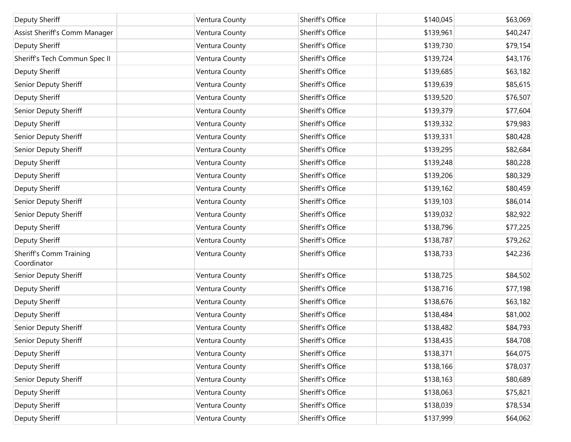| Deputy Sheriff                                | Ventura County | Sheriff's Office | \$140,045 | \$63,069 |
|-----------------------------------------------|----------------|------------------|-----------|----------|
| Assist Sheriff's Comm Manager                 | Ventura County | Sheriff's Office | \$139,961 | \$40,247 |
| Deputy Sheriff                                | Ventura County | Sheriff's Office | \$139,730 | \$79,154 |
| Sheriff's Tech Commun Spec II                 | Ventura County | Sheriff's Office | \$139,724 | \$43,176 |
| Deputy Sheriff                                | Ventura County | Sheriff's Office | \$139,685 | \$63,182 |
| Senior Deputy Sheriff                         | Ventura County | Sheriff's Office | \$139,639 | \$85,615 |
| Deputy Sheriff                                | Ventura County | Sheriff's Office | \$139,520 | \$76,507 |
| Senior Deputy Sheriff                         | Ventura County | Sheriff's Office | \$139,379 | \$77,604 |
| Deputy Sheriff                                | Ventura County | Sheriff's Office | \$139,332 | \$79,983 |
| Senior Deputy Sheriff                         | Ventura County | Sheriff's Office | \$139,331 | \$80,428 |
| Senior Deputy Sheriff                         | Ventura County | Sheriff's Office | \$139,295 | \$82,684 |
| Deputy Sheriff                                | Ventura County | Sheriff's Office | \$139,248 | \$80,228 |
| Deputy Sheriff                                | Ventura County | Sheriff's Office | \$139,206 | \$80,329 |
| Deputy Sheriff                                | Ventura County | Sheriff's Office | \$139,162 | \$80,459 |
| Senior Deputy Sheriff                         | Ventura County | Sheriff's Office | \$139,103 | \$86,014 |
| Senior Deputy Sheriff                         | Ventura County | Sheriff's Office | \$139,032 | \$82,922 |
| Deputy Sheriff                                | Ventura County | Sheriff's Office | \$138,796 | \$77,225 |
| Deputy Sheriff                                | Ventura County | Sheriff's Office | \$138,787 | \$79,262 |
| <b>Sheriff's Comm Training</b><br>Coordinator | Ventura County | Sheriff's Office | \$138,733 | \$42,236 |
| Senior Deputy Sheriff                         | Ventura County | Sheriff's Office | \$138,725 | \$84,502 |
| Deputy Sheriff                                | Ventura County | Sheriff's Office | \$138,716 | \$77,198 |
| Deputy Sheriff                                | Ventura County | Sheriff's Office | \$138,676 | \$63,182 |
| Deputy Sheriff                                | Ventura County | Sheriff's Office | \$138,484 | \$81,002 |
| Senior Deputy Sheriff                         | Ventura County | Sheriff's Office | \$138,482 | \$84,793 |
| Senior Deputy Sheriff                         | Ventura County | Sheriff's Office | \$138,435 | \$84,708 |
| Deputy Sheriff                                | Ventura County | Sheriff's Office | \$138,371 | \$64,075 |
| Deputy Sheriff                                | Ventura County | Sheriff's Office | \$138,166 | \$78,037 |
| Senior Deputy Sheriff                         | Ventura County | Sheriff's Office | \$138,163 | \$80,689 |
| Deputy Sheriff                                | Ventura County | Sheriff's Office | \$138,063 | \$75,821 |
| Deputy Sheriff                                | Ventura County | Sheriff's Office | \$138,039 | \$78,534 |
| Deputy Sheriff                                | Ventura County | Sheriff's Office | \$137,999 | \$64,062 |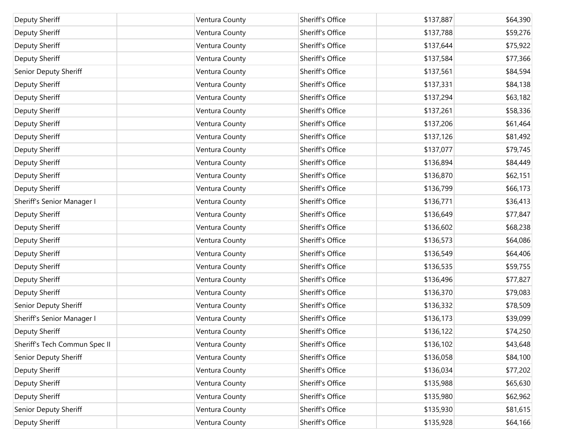| Deputy Sheriff                | Ventura County | Sheriff's Office | \$137,887 | \$64,390 |
|-------------------------------|----------------|------------------|-----------|----------|
| Deputy Sheriff                | Ventura County | Sheriff's Office | \$137,788 | \$59,276 |
| Deputy Sheriff                | Ventura County | Sheriff's Office | \$137,644 | \$75,922 |
| Deputy Sheriff                | Ventura County | Sheriff's Office | \$137,584 | \$77,366 |
| Senior Deputy Sheriff         | Ventura County | Sheriff's Office | \$137,561 | \$84,594 |
| Deputy Sheriff                | Ventura County | Sheriff's Office | \$137,331 | \$84,138 |
| Deputy Sheriff                | Ventura County | Sheriff's Office | \$137,294 | \$63,182 |
| Deputy Sheriff                | Ventura County | Sheriff's Office | \$137,261 | \$58,336 |
| Deputy Sheriff                | Ventura County | Sheriff's Office | \$137,206 | \$61,464 |
| Deputy Sheriff                | Ventura County | Sheriff's Office | \$137,126 | \$81,492 |
| Deputy Sheriff                | Ventura County | Sheriff's Office | \$137,077 | \$79,745 |
| Deputy Sheriff                | Ventura County | Sheriff's Office | \$136,894 | \$84,449 |
| Deputy Sheriff                | Ventura County | Sheriff's Office | \$136,870 | \$62,151 |
| Deputy Sheriff                | Ventura County | Sheriff's Office | \$136,799 | \$66,173 |
| Sheriff's Senior Manager I    | Ventura County | Sheriff's Office | \$136,771 | \$36,413 |
| Deputy Sheriff                | Ventura County | Sheriff's Office | \$136,649 | \$77,847 |
| Deputy Sheriff                | Ventura County | Sheriff's Office | \$136,602 | \$68,238 |
| Deputy Sheriff                | Ventura County | Sheriff's Office | \$136,573 | \$64,086 |
| Deputy Sheriff                | Ventura County | Sheriff's Office | \$136,549 | \$64,406 |
| Deputy Sheriff                | Ventura County | Sheriff's Office | \$136,535 | \$59,755 |
| Deputy Sheriff                | Ventura County | Sheriff's Office | \$136,496 | \$77,827 |
| Deputy Sheriff                | Ventura County | Sheriff's Office | \$136,370 | \$79,083 |
| Senior Deputy Sheriff         | Ventura County | Sheriff's Office | \$136,332 | \$78,509 |
| Sheriff's Senior Manager I    | Ventura County | Sheriff's Office | \$136,173 | \$39,099 |
| Deputy Sheriff                | Ventura County | Sheriff's Office | \$136,122 | \$74,250 |
| Sheriff's Tech Commun Spec II | Ventura County | Sheriff's Office | \$136,102 | \$43,648 |
| Senior Deputy Sheriff         | Ventura County | Sheriff's Office | \$136,058 | \$84,100 |
| Deputy Sheriff                | Ventura County | Sheriff's Office | \$136,034 | \$77,202 |
| Deputy Sheriff                | Ventura County | Sheriff's Office | \$135,988 | \$65,630 |
| Deputy Sheriff                | Ventura County | Sheriff's Office | \$135,980 | \$62,962 |
| Senior Deputy Sheriff         | Ventura County | Sheriff's Office | \$135,930 | \$81,615 |
| Deputy Sheriff                | Ventura County | Sheriff's Office | \$135,928 | \$64,166 |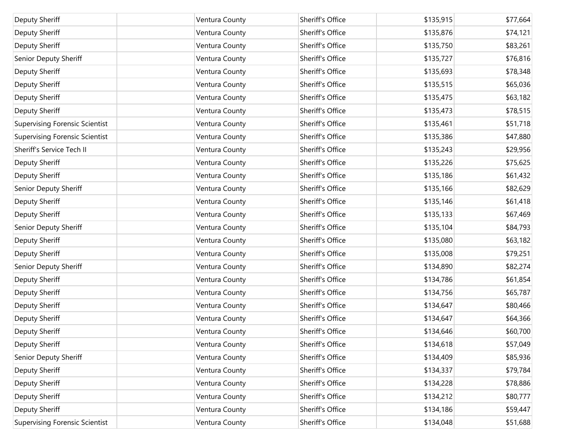| Deputy Sheriff                        | Ventura County | Sheriff's Office | \$135,915 | \$77,664 |
|---------------------------------------|----------------|------------------|-----------|----------|
| Deputy Sheriff                        | Ventura County | Sheriff's Office | \$135,876 | \$74,121 |
| Deputy Sheriff                        | Ventura County | Sheriff's Office | \$135,750 | \$83,261 |
| Senior Deputy Sheriff                 | Ventura County | Sheriff's Office | \$135,727 | \$76,816 |
| Deputy Sheriff                        | Ventura County | Sheriff's Office | \$135,693 | \$78,348 |
| Deputy Sheriff                        | Ventura County | Sheriff's Office | \$135,515 | \$65,036 |
| Deputy Sheriff                        | Ventura County | Sheriff's Office | \$135,475 | \$63,182 |
| Deputy Sheriff                        | Ventura County | Sheriff's Office | \$135,473 | \$78,515 |
| <b>Supervising Forensic Scientist</b> | Ventura County | Sheriff's Office | \$135,461 | \$51,718 |
| <b>Supervising Forensic Scientist</b> | Ventura County | Sheriff's Office | \$135,386 | \$47,880 |
| Sheriff's Service Tech II             | Ventura County | Sheriff's Office | \$135,243 | \$29,956 |
| Deputy Sheriff                        | Ventura County | Sheriff's Office | \$135,226 | \$75,625 |
| Deputy Sheriff                        | Ventura County | Sheriff's Office | \$135,186 | \$61,432 |
| Senior Deputy Sheriff                 | Ventura County | Sheriff's Office | \$135,166 | \$82,629 |
| Deputy Sheriff                        | Ventura County | Sheriff's Office | \$135,146 | \$61,418 |
| Deputy Sheriff                        | Ventura County | Sheriff's Office | \$135,133 | \$67,469 |
| Senior Deputy Sheriff                 | Ventura County | Sheriff's Office | \$135,104 | \$84,793 |
| Deputy Sheriff                        | Ventura County | Sheriff's Office | \$135,080 | \$63,182 |
| Deputy Sheriff                        | Ventura County | Sheriff's Office | \$135,008 | \$79,251 |
| Senior Deputy Sheriff                 | Ventura County | Sheriff's Office | \$134,890 | \$82,274 |
| Deputy Sheriff                        | Ventura County | Sheriff's Office | \$134,786 | \$61,854 |
| Deputy Sheriff                        | Ventura County | Sheriff's Office | \$134,756 | \$65,787 |
| Deputy Sheriff                        | Ventura County | Sheriff's Office | \$134,647 | \$80,466 |
| Deputy Sheriff                        | Ventura County | Sheriff's Office | \$134,647 | \$64,366 |
| Deputy Sheriff                        | Ventura County | Sheriff's Office | \$134,646 | \$60,700 |
| Deputy Sheriff                        | Ventura County | Sheriff's Office | \$134,618 | \$57,049 |
| Senior Deputy Sheriff                 | Ventura County | Sheriff's Office | \$134,409 | \$85,936 |
| Deputy Sheriff                        | Ventura County | Sheriff's Office | \$134,337 | \$79,784 |
| Deputy Sheriff                        | Ventura County | Sheriff's Office | \$134,228 | \$78,886 |
| Deputy Sheriff                        | Ventura County | Sheriff's Office | \$134,212 | \$80,777 |
| Deputy Sheriff                        | Ventura County | Sheriff's Office | \$134,186 | \$59,447 |
| <b>Supervising Forensic Scientist</b> | Ventura County | Sheriff's Office | \$134,048 | \$51,688 |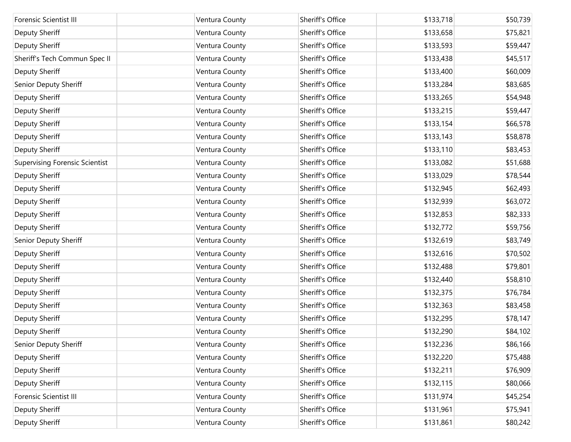| Forensic Scientist III                | Ventura County | Sheriff's Office | \$133,718 | \$50,739 |
|---------------------------------------|----------------|------------------|-----------|----------|
| Deputy Sheriff                        | Ventura County | Sheriff's Office | \$133,658 | \$75,821 |
| Deputy Sheriff                        | Ventura County | Sheriff's Office | \$133,593 | \$59,447 |
| Sheriff's Tech Commun Spec II         | Ventura County | Sheriff's Office | \$133,438 | \$45,517 |
| Deputy Sheriff                        | Ventura County | Sheriff's Office | \$133,400 | \$60,009 |
|                                       |                |                  |           |          |
| Senior Deputy Sheriff                 | Ventura County | Sheriff's Office | \$133,284 | \$83,685 |
| Deputy Sheriff                        | Ventura County | Sheriff's Office | \$133,265 | \$54,948 |
| Deputy Sheriff                        | Ventura County | Sheriff's Office | \$133,215 | \$59,447 |
| Deputy Sheriff                        | Ventura County | Sheriff's Office | \$133,154 | \$66,578 |
| Deputy Sheriff                        | Ventura County | Sheriff's Office | \$133,143 | \$58,878 |
| Deputy Sheriff                        | Ventura County | Sheriff's Office | \$133,110 | \$83,453 |
| <b>Supervising Forensic Scientist</b> | Ventura County | Sheriff's Office | \$133,082 | \$51,688 |
| Deputy Sheriff                        | Ventura County | Sheriff's Office | \$133,029 | \$78,544 |
| Deputy Sheriff                        | Ventura County | Sheriff's Office | \$132,945 | \$62,493 |
| Deputy Sheriff                        | Ventura County | Sheriff's Office | \$132,939 | \$63,072 |
| Deputy Sheriff                        | Ventura County | Sheriff's Office | \$132,853 | \$82,333 |
| Deputy Sheriff                        | Ventura County | Sheriff's Office | \$132,772 | \$59,756 |
| Senior Deputy Sheriff                 | Ventura County | Sheriff's Office | \$132,619 | \$83,749 |
| Deputy Sheriff                        | Ventura County | Sheriff's Office | \$132,616 | \$70,502 |
| Deputy Sheriff                        | Ventura County | Sheriff's Office | \$132,488 | \$79,801 |
| Deputy Sheriff                        | Ventura County | Sheriff's Office | \$132,440 | \$58,810 |
| Deputy Sheriff                        | Ventura County | Sheriff's Office | \$132,375 | \$76,784 |
| Deputy Sheriff                        | Ventura County | Sheriff's Office | \$132,363 | \$83,458 |
| Deputy Sheriff                        | Ventura County | Sheriff's Office | \$132,295 | \$78,147 |
| Deputy Sheriff                        | Ventura County | Sheriff's Office | \$132,290 | \$84,102 |
| Senior Deputy Sheriff                 | Ventura County | Sheriff's Office | \$132,236 | \$86,166 |
| Deputy Sheriff                        | Ventura County | Sheriff's Office | \$132,220 | \$75,488 |
| Deputy Sheriff                        | Ventura County | Sheriff's Office | \$132,211 | \$76,909 |
| Deputy Sheriff                        | Ventura County | Sheriff's Office | \$132,115 | \$80,066 |
| <b>Forensic Scientist III</b>         | Ventura County | Sheriff's Office | \$131,974 | \$45,254 |
| Deputy Sheriff                        | Ventura County | Sheriff's Office | \$131,961 | \$75,941 |
| Deputy Sheriff                        | Ventura County | Sheriff's Office | \$131,861 | \$80,242 |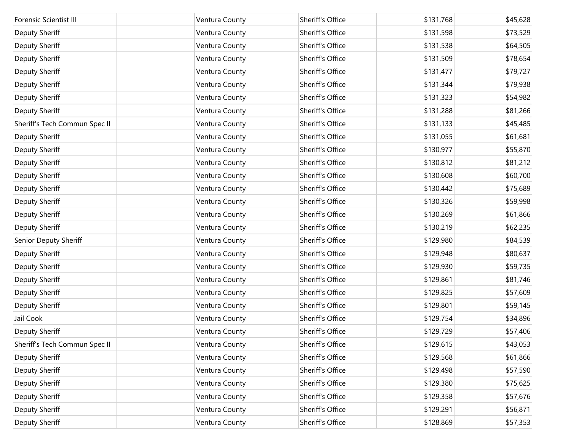| <b>Forensic Scientist III</b> | Ventura County | Sheriff's Office | \$131,768 | \$45,628 |
|-------------------------------|----------------|------------------|-----------|----------|
| Deputy Sheriff                | Ventura County | Sheriff's Office | \$131,598 | \$73,529 |
| Deputy Sheriff                | Ventura County | Sheriff's Office | \$131,538 | \$64,505 |
| Deputy Sheriff                | Ventura County | Sheriff's Office | \$131,509 | \$78,654 |
| Deputy Sheriff                | Ventura County | Sheriff's Office | \$131,477 | \$79,727 |
| Deputy Sheriff                | Ventura County | Sheriff's Office | \$131,344 | \$79,938 |
| Deputy Sheriff                | Ventura County | Sheriff's Office | \$131,323 | \$54,982 |
| Deputy Sheriff                | Ventura County | Sheriff's Office | \$131,288 | \$81,266 |
| Sheriff's Tech Commun Spec II | Ventura County | Sheriff's Office | \$131,133 | \$45,485 |
| Deputy Sheriff                | Ventura County | Sheriff's Office | \$131,055 | \$61,681 |
| Deputy Sheriff                | Ventura County | Sheriff's Office | \$130,977 | \$55,870 |
| Deputy Sheriff                | Ventura County | Sheriff's Office | \$130,812 | \$81,212 |
| Deputy Sheriff                | Ventura County | Sheriff's Office | \$130,608 | \$60,700 |
| Deputy Sheriff                | Ventura County | Sheriff's Office | \$130,442 | \$75,689 |
| Deputy Sheriff                | Ventura County | Sheriff's Office | \$130,326 | \$59,998 |
| Deputy Sheriff                | Ventura County | Sheriff's Office | \$130,269 | \$61,866 |
| Deputy Sheriff                | Ventura County | Sheriff's Office | \$130,219 | \$62,235 |
| Senior Deputy Sheriff         | Ventura County | Sheriff's Office | \$129,980 | \$84,539 |
| Deputy Sheriff                | Ventura County | Sheriff's Office | \$129,948 | \$80,637 |
| Deputy Sheriff                | Ventura County | Sheriff's Office | \$129,930 | \$59,735 |
| Deputy Sheriff                | Ventura County | Sheriff's Office | \$129,861 | \$81,746 |
| Deputy Sheriff                | Ventura County | Sheriff's Office | \$129,825 | \$57,609 |
| Deputy Sheriff                | Ventura County | Sheriff's Office | \$129,801 | \$59,145 |
| Jail Cook                     | Ventura County | Sheriff's Office | \$129,754 | \$34,896 |
| Deputy Sheriff                | Ventura County | Sheriff's Office | \$129,729 | \$57,406 |
| Sheriff's Tech Commun Spec II | Ventura County | Sheriff's Office | \$129,615 | \$43,053 |
| Deputy Sheriff                | Ventura County | Sheriff's Office | \$129,568 | \$61,866 |
| Deputy Sheriff                | Ventura County | Sheriff's Office | \$129,498 | \$57,590 |
| Deputy Sheriff                | Ventura County | Sheriff's Office | \$129,380 | \$75,625 |
| Deputy Sheriff                | Ventura County | Sheriff's Office | \$129,358 | \$57,676 |
| Deputy Sheriff                | Ventura County | Sheriff's Office | \$129,291 | \$56,871 |
| Deputy Sheriff                | Ventura County | Sheriff's Office | \$128,869 | \$57,353 |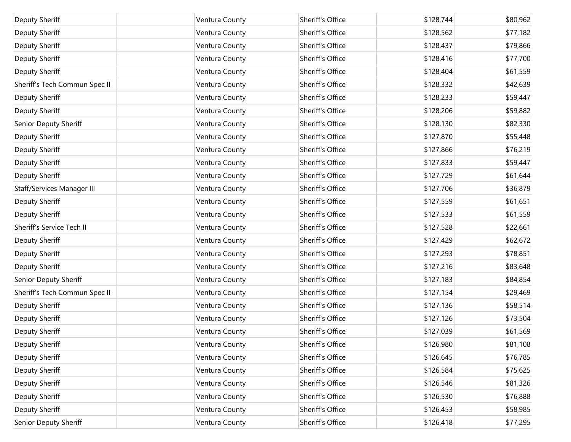| Deputy Sheriff                | Ventura County | Sheriff's Office | \$128,744 | \$80,962 |
|-------------------------------|----------------|------------------|-----------|----------|
| Deputy Sheriff                | Ventura County | Sheriff's Office | \$128,562 | \$77,182 |
| Deputy Sheriff                | Ventura County | Sheriff's Office | \$128,437 | \$79,866 |
| Deputy Sheriff                | Ventura County | Sheriff's Office | \$128,416 | \$77,700 |
| Deputy Sheriff                | Ventura County | Sheriff's Office | \$128,404 | \$61,559 |
| Sheriff's Tech Commun Spec II | Ventura County | Sheriff's Office | \$128,332 | \$42,639 |
| Deputy Sheriff                | Ventura County | Sheriff's Office | \$128,233 | \$59,447 |
| Deputy Sheriff                | Ventura County | Sheriff's Office | \$128,206 | \$59,882 |
| Senior Deputy Sheriff         | Ventura County | Sheriff's Office | \$128,130 | \$82,330 |
| Deputy Sheriff                | Ventura County | Sheriff's Office | \$127,870 | \$55,448 |
| Deputy Sheriff                | Ventura County | Sheriff's Office | \$127,866 | \$76,219 |
| Deputy Sheriff                | Ventura County | Sheriff's Office | \$127,833 | \$59,447 |
| Deputy Sheriff                | Ventura County | Sheriff's Office | \$127,729 | \$61,644 |
| Staff/Services Manager III    | Ventura County | Sheriff's Office | \$127,706 | \$36,879 |
| Deputy Sheriff                | Ventura County | Sheriff's Office | \$127,559 | \$61,651 |
| Deputy Sheriff                | Ventura County | Sheriff's Office | \$127,533 | \$61,559 |
| Sheriff's Service Tech II     | Ventura County | Sheriff's Office | \$127,528 | \$22,661 |
| Deputy Sheriff                | Ventura County | Sheriff's Office | \$127,429 | \$62,672 |
| Deputy Sheriff                | Ventura County | Sheriff's Office | \$127,293 | \$78,851 |
| Deputy Sheriff                | Ventura County | Sheriff's Office | \$127,216 | \$83,648 |
| Senior Deputy Sheriff         | Ventura County | Sheriff's Office | \$127,183 | \$84,854 |
| Sheriff's Tech Commun Spec II | Ventura County | Sheriff's Office | \$127,154 | \$29,469 |
| Deputy Sheriff                | Ventura County | Sheriff's Office | \$127,136 | \$58,514 |
| Deputy Sheriff                | Ventura County | Sheriff's Office | \$127,126 | \$73,504 |
| Deputy Sheriff                | Ventura County | Sheriff's Office | \$127,039 | \$61,569 |
| Deputy Sheriff                | Ventura County | Sheriff's Office | \$126,980 | \$81,108 |
| Deputy Sheriff                | Ventura County | Sheriff's Office | \$126,645 | \$76,785 |
| Deputy Sheriff                | Ventura County | Sheriff's Office | \$126,584 | \$75,625 |
| Deputy Sheriff                | Ventura County | Sheriff's Office | \$126,546 | \$81,326 |
| Deputy Sheriff                | Ventura County | Sheriff's Office | \$126,530 | \$76,888 |
| Deputy Sheriff                | Ventura County | Sheriff's Office | \$126,453 | \$58,985 |
| Senior Deputy Sheriff         | Ventura County | Sheriff's Office | \$126,418 | \$77,295 |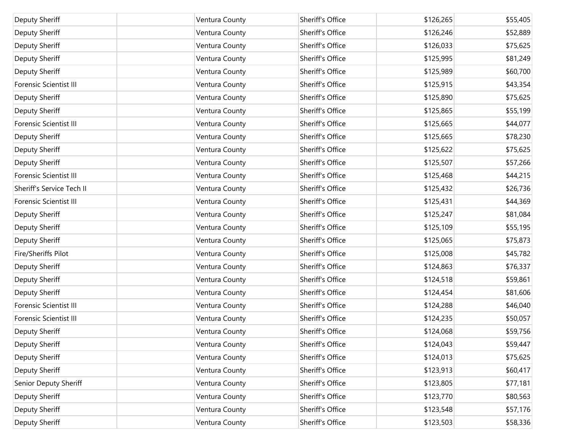| Deputy Sheriff                | Ventura County | Sheriff's Office | \$126,265 | \$55,405 |
|-------------------------------|----------------|------------------|-----------|----------|
| <b>Deputy Sheriff</b>         | Ventura County | Sheriff's Office | \$126,246 | \$52,889 |
| Deputy Sheriff                | Ventura County | Sheriff's Office | \$126,033 | \$75,625 |
| <b>Deputy Sheriff</b>         | Ventura County | Sheriff's Office | \$125,995 | \$81,249 |
| Deputy Sheriff                | Ventura County | Sheriff's Office | \$125,989 | \$60,700 |
| <b>Forensic Scientist III</b> | Ventura County | Sheriff's Office | \$125,915 | \$43,354 |
| <b>Deputy Sheriff</b>         | Ventura County | Sheriff's Office | \$125,890 | \$75,625 |
| <b>Deputy Sheriff</b>         | Ventura County | Sheriff's Office | \$125,865 | \$55,199 |
| <b>Forensic Scientist III</b> | Ventura County | Sheriff's Office | \$125,665 | \$44,077 |
| <b>Deputy Sheriff</b>         | Ventura County | Sheriff's Office | \$125,665 | \$78,230 |
| Deputy Sheriff                | Ventura County | Sheriff's Office | \$125,622 | \$75,625 |
| <b>Deputy Sheriff</b>         | Ventura County | Sheriff's Office | \$125,507 | \$57,266 |
| <b>Forensic Scientist III</b> | Ventura County | Sheriff's Office | \$125,468 | \$44,215 |
| Sheriff's Service Tech II     | Ventura County | Sheriff's Office | \$125,432 | \$26,736 |
| <b>Forensic Scientist III</b> | Ventura County | Sheriff's Office | \$125,431 | \$44,369 |
| <b>Deputy Sheriff</b>         | Ventura County | Sheriff's Office | \$125,247 | \$81,084 |
| Deputy Sheriff                | Ventura County | Sheriff's Office | \$125,109 | \$55,195 |
| <b>Deputy Sheriff</b>         | Ventura County | Sheriff's Office | \$125,065 | \$75,873 |
| Fire/Sheriffs Pilot           | Ventura County | Sheriff's Office | \$125,008 | \$45,782 |
| <b>Deputy Sheriff</b>         | Ventura County | Sheriff's Office | \$124,863 | \$76,337 |
| Deputy Sheriff                | Ventura County | Sheriff's Office | \$124,518 | \$59,861 |
| Deputy Sheriff                | Ventura County | Sheriff's Office | \$124,454 | \$81,606 |
| <b>Forensic Scientist III</b> | Ventura County | Sheriff's Office | \$124,288 | \$46,040 |
| <b>Forensic Scientist III</b> | Ventura County | Sheriff's Office | \$124,235 | \$50,057 |
| Deputy Sheriff                | Ventura County | Sheriff's Office | \$124,068 | \$59,756 |
| Deputy Sheriff                | Ventura County | Sheriff's Office | \$124,043 | \$59,447 |
| <b>Deputy Sheriff</b>         | Ventura County | Sheriff's Office | \$124,013 | \$75,625 |
| Deputy Sheriff                | Ventura County | Sheriff's Office | \$123,913 | \$60,417 |
| Senior Deputy Sheriff         | Ventura County | Sheriff's Office | \$123,805 | \$77,181 |
| Deputy Sheriff                | Ventura County | Sheriff's Office | \$123,770 | \$80,563 |
| Deputy Sheriff                | Ventura County | Sheriff's Office | \$123,548 | \$57,176 |
| Deputy Sheriff                | Ventura County | Sheriff's Office | \$123,503 | \$58,336 |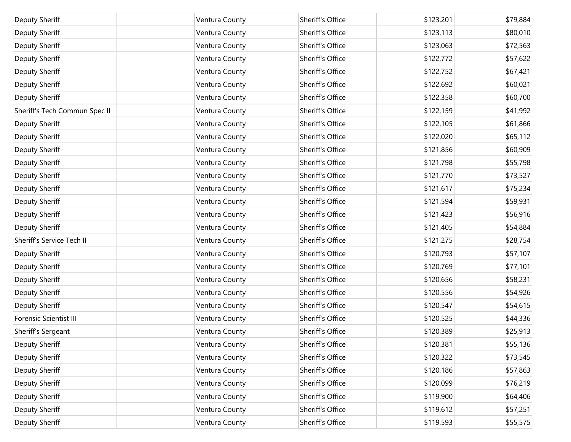| Deputy Sheriff                | Ventura County | Sheriff's Office | \$123,201 | \$79,884 |
|-------------------------------|----------------|------------------|-----------|----------|
| <b>Deputy Sheriff</b>         | Ventura County | Sheriff's Office | \$123,113 | \$80,010 |
| Deputy Sheriff                | Ventura County | Sheriff's Office | \$123,063 | \$72,563 |
| <b>Deputy Sheriff</b>         | Ventura County | Sheriff's Office | \$122,772 | \$57,622 |
| <b>Deputy Sheriff</b>         | Ventura County | Sheriff's Office | \$122,752 | \$67,421 |
| Deputy Sheriff                | Ventura County | Sheriff's Office | \$122,692 | \$60,021 |
| Deputy Sheriff                | Ventura County | Sheriff's Office | \$122,358 | \$60,700 |
| Sheriff's Tech Commun Spec II | Ventura County | Sheriff's Office | \$122,159 | \$41,992 |
| Deputy Sheriff                | Ventura County | Sheriff's Office | \$122,105 | \$61,866 |
| Deputy Sheriff                | Ventura County | Sheriff's Office | \$122,020 | \$65,112 |
| Deputy Sheriff                | Ventura County | Sheriff's Office | \$121,856 | \$60,909 |
| Deputy Sheriff                | Ventura County | Sheriff's Office | \$121,798 | \$55,798 |
| Deputy Sheriff                | Ventura County | Sheriff's Office | \$121,770 | \$73,527 |
| Deputy Sheriff                | Ventura County | Sheriff's Office | \$121,617 | \$75,234 |
| Deputy Sheriff                | Ventura County | Sheriff's Office | \$121,594 | \$59,931 |
| Deputy Sheriff                | Ventura County | Sheriff's Office | \$121,423 | \$56,916 |
| Deputy Sheriff                | Ventura County | Sheriff's Office | \$121,405 | \$54,884 |
| Sheriff's Service Tech II     | Ventura County | Sheriff's Office | \$121,275 | \$28,754 |
| <b>Deputy Sheriff</b>         | Ventura County | Sheriff's Office | \$120,793 | \$57,107 |
| <b>Deputy Sheriff</b>         | Ventura County | Sheriff's Office | \$120,769 | \$77,101 |
| Deputy Sheriff                | Ventura County | Sheriff's Office | \$120,656 | \$58,231 |
| <b>Deputy Sheriff</b>         | Ventura County | Sheriff's Office | \$120,556 | \$54,926 |
| <b>Deputy Sheriff</b>         | Ventura County | Sheriff's Office | \$120,547 | \$54,615 |
| <b>Forensic Scientist III</b> | Ventura County | Sheriff's Office | \$120,525 | \$44,336 |
| Sheriff's Sergeant            | Ventura County | Sheriff's Office | \$120,389 | \$25,913 |
| Deputy Sheriff                | Ventura County | Sheriff's Office | \$120,381 | \$55,136 |
| <b>Deputy Sheriff</b>         | Ventura County | Sheriff's Office | \$120,322 | \$73,545 |
| <b>Deputy Sheriff</b>         | Ventura County | Sheriff's Office | \$120,186 | \$57,863 |
| Deputy Sheriff                | Ventura County | Sheriff's Office | \$120,099 | \$76,219 |
| <b>Deputy Sheriff</b>         | Ventura County | Sheriff's Office | \$119,900 | \$64,406 |
| Deputy Sheriff                | Ventura County | Sheriff's Office | \$119,612 | \$57,251 |
| Deputy Sheriff                | Ventura County | Sheriff's Office | \$119,593 | \$55,575 |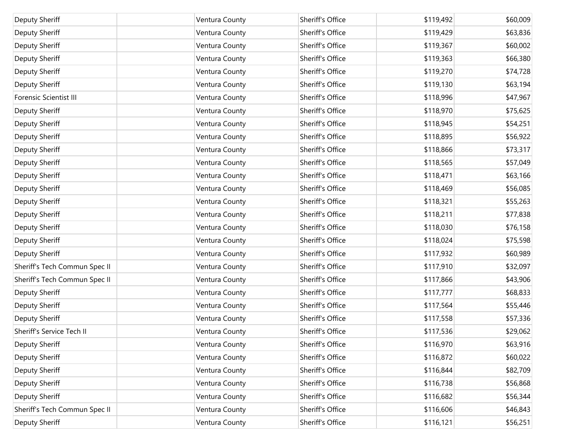| Deputy Sheriff                | Ventura County | Sheriff's Office | \$119,492 | \$60,009 |
|-------------------------------|----------------|------------------|-----------|----------|
| Deputy Sheriff                | Ventura County | Sheriff's Office | \$119,429 | \$63,836 |
| Deputy Sheriff                | Ventura County | Sheriff's Office | \$119,367 | \$60,002 |
| Deputy Sheriff                | Ventura County | Sheriff's Office | \$119,363 | \$66,380 |
| Deputy Sheriff                | Ventura County | Sheriff's Office | \$119,270 | \$74,728 |
| Deputy Sheriff                | Ventura County | Sheriff's Office | \$119,130 | \$63,194 |
| Forensic Scientist III        | Ventura County | Sheriff's Office | \$118,996 | \$47,967 |
| Deputy Sheriff                | Ventura County | Sheriff's Office | \$118,970 | \$75,625 |
| Deputy Sheriff                | Ventura County | Sheriff's Office | \$118,945 | \$54,251 |
| Deputy Sheriff                | Ventura County | Sheriff's Office | \$118,895 | \$56,922 |
| Deputy Sheriff                | Ventura County | Sheriff's Office | \$118,866 | \$73,317 |
| Deputy Sheriff                | Ventura County | Sheriff's Office | \$118,565 | \$57,049 |
| Deputy Sheriff                | Ventura County | Sheriff's Office | \$118,471 | \$63,166 |
| Deputy Sheriff                | Ventura County | Sheriff's Office | \$118,469 | \$56,085 |
| Deputy Sheriff                | Ventura County | Sheriff's Office | \$118,321 | \$55,263 |
| Deputy Sheriff                | Ventura County | Sheriff's Office | \$118,211 | \$77,838 |
| Deputy Sheriff                | Ventura County | Sheriff's Office | \$118,030 | \$76,158 |
| Deputy Sheriff                | Ventura County | Sheriff's Office | \$118,024 | \$75,598 |
| Deputy Sheriff                | Ventura County | Sheriff's Office | \$117,932 | \$60,989 |
| Sheriff's Tech Commun Spec II | Ventura County | Sheriff's Office | \$117,910 | \$32,097 |
| Sheriff's Tech Commun Spec II | Ventura County | Sheriff's Office | \$117,866 | \$43,906 |
| Deputy Sheriff                | Ventura County | Sheriff's Office | \$117,777 | \$68,833 |
| Deputy Sheriff                | Ventura County | Sheriff's Office | \$117,564 | \$55,446 |
| Deputy Sheriff                | Ventura County | Sheriff's Office | \$117,558 | \$57,336 |
| Sheriff's Service Tech II     | Ventura County | Sheriff's Office | \$117,536 | \$29,062 |
| Deputy Sheriff                | Ventura County | Sheriff's Office | \$116,970 | \$63,916 |
| Deputy Sheriff                | Ventura County | Sheriff's Office | \$116,872 | \$60,022 |
| Deputy Sheriff                | Ventura County | Sheriff's Office | \$116,844 | \$82,709 |
| Deputy Sheriff                | Ventura County | Sheriff's Office | \$116,738 | \$56,868 |
| Deputy Sheriff                | Ventura County | Sheriff's Office | \$116,682 | \$56,344 |
| Sheriff's Tech Commun Spec II | Ventura County | Sheriff's Office | \$116,606 | \$46,843 |
| Deputy Sheriff                | Ventura County | Sheriff's Office | \$116,121 | \$56,251 |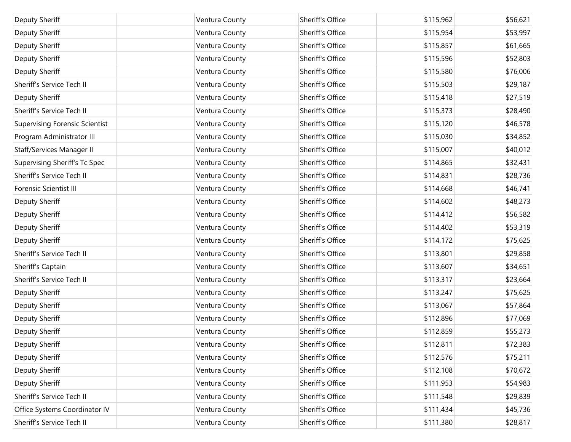| Deputy Sheriff                        | Ventura County | Sheriff's Office | \$115,962 | \$56,621 |
|---------------------------------------|----------------|------------------|-----------|----------|
| Deputy Sheriff                        | Ventura County | Sheriff's Office | \$115,954 | \$53,997 |
| Deputy Sheriff                        | Ventura County | Sheriff's Office | \$115,857 | \$61,665 |
| Deputy Sheriff                        | Ventura County | Sheriff's Office | \$115,596 | \$52,803 |
| Deputy Sheriff                        | Ventura County | Sheriff's Office | \$115,580 | \$76,006 |
| Sheriff's Service Tech II             | Ventura County | Sheriff's Office | \$115,503 | \$29,187 |
| <b>Deputy Sheriff</b>                 | Ventura County | Sheriff's Office | \$115,418 | \$27,519 |
| Sheriff's Service Tech II             | Ventura County | Sheriff's Office | \$115,373 | \$28,490 |
| <b>Supervising Forensic Scientist</b> | Ventura County | Sheriff's Office | \$115,120 | \$46,578 |
| Program Administrator III             | Ventura County | Sheriff's Office | \$115,030 | \$34,852 |
| Staff/Services Manager II             | Ventura County | Sheriff's Office | \$115,007 | \$40,012 |
| Supervising Sheriff's Tc Spec         | Ventura County | Sheriff's Office | \$114,865 | \$32,431 |
| Sheriff's Service Tech II             | Ventura County | Sheriff's Office | \$114,831 | \$28,736 |
| Forensic Scientist III                | Ventura County | Sheriff's Office | \$114,668 | \$46,741 |
| <b>Deputy Sheriff</b>                 | Ventura County | Sheriff's Office | \$114,602 | \$48,273 |
| Deputy Sheriff                        | Ventura County | Sheriff's Office | \$114,412 | \$56,582 |
| Deputy Sheriff                        | Ventura County | Sheriff's Office | \$114,402 | \$53,319 |
| Deputy Sheriff                        | Ventura County | Sheriff's Office | \$114,172 | \$75,625 |
| Sheriff's Service Tech II             | Ventura County | Sheriff's Office | \$113,801 | \$29,858 |
| Sheriff's Captain                     | Ventura County | Sheriff's Office | \$113,607 | \$34,651 |
| Sheriff's Service Tech II             | Ventura County | Sheriff's Office | \$113,317 | \$23,664 |
| Deputy Sheriff                        | Ventura County | Sheriff's Office | \$113,247 | \$75,625 |
| Deputy Sheriff                        | Ventura County | Sheriff's Office | \$113,067 | \$57,864 |
| Deputy Sheriff                        | Ventura County | Sheriff's Office | \$112,896 | \$77,069 |
| Deputy Sheriff                        | Ventura County | Sheriff's Office | \$112,859 | \$55,273 |
| Deputy Sheriff                        | Ventura County | Sheriff's Office | \$112,811 | \$72,383 |
| Deputy Sheriff                        | Ventura County | Sheriff's Office | \$112,576 | \$75,211 |
| Deputy Sheriff                        | Ventura County | Sheriff's Office | \$112,108 | \$70,672 |
| Deputy Sheriff                        | Ventura County | Sheriff's Office | \$111,953 | \$54,983 |
| Sheriff's Service Tech II             | Ventura County | Sheriff's Office | \$111,548 | \$29,839 |
| Office Systems Coordinator IV         | Ventura County | Sheriff's Office | \$111,434 | \$45,736 |
| Sheriff's Service Tech II             | Ventura County | Sheriff's Office | \$111,380 | \$28,817 |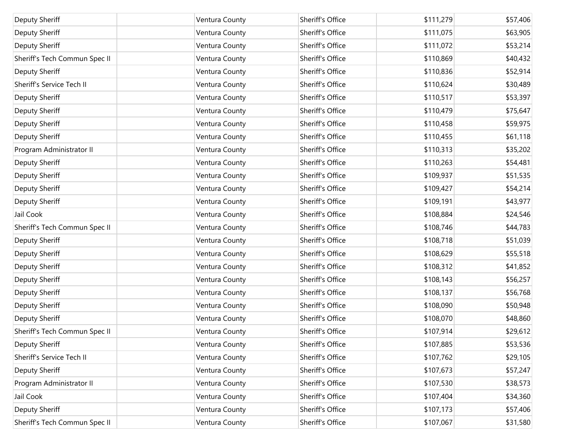| Deputy Sheriff                | Ventura County | Sheriff's Office | \$111,279 | \$57,406 |
|-------------------------------|----------------|------------------|-----------|----------|
| Deputy Sheriff                | Ventura County | Sheriff's Office | \$111,075 | \$63,905 |
| <b>Deputy Sheriff</b>         | Ventura County | Sheriff's Office | \$111,072 | \$53,214 |
| Sheriff's Tech Commun Spec II | Ventura County | Sheriff's Office | \$110,869 | \$40,432 |
| <b>Deputy Sheriff</b>         | Ventura County | Sheriff's Office | \$110,836 | \$52,914 |
| Sheriff's Service Tech II     | Ventura County | Sheriff's Office | \$110,624 | \$30,489 |
| Deputy Sheriff                | Ventura County | Sheriff's Office | \$110,517 | \$53,397 |
| Deputy Sheriff                | Ventura County | Sheriff's Office | \$110,479 | \$75,647 |
| Deputy Sheriff                | Ventura County | Sheriff's Office | \$110,458 | \$59,975 |
| Deputy Sheriff                | Ventura County | Sheriff's Office | \$110,455 | \$61,118 |
| Program Administrator II      | Ventura County | Sheriff's Office | \$110,313 | \$35,202 |
| Deputy Sheriff                | Ventura County | Sheriff's Office | \$110,263 | \$54,481 |
| Deputy Sheriff                | Ventura County | Sheriff's Office | \$109,937 | \$51,535 |
| Deputy Sheriff                | Ventura County | Sheriff's Office | \$109,427 | \$54,214 |
| Deputy Sheriff                | Ventura County | Sheriff's Office | \$109,191 | \$43,977 |
| Jail Cook                     | Ventura County | Sheriff's Office | \$108,884 | \$24,546 |
| Sheriff's Tech Commun Spec II | Ventura County | Sheriff's Office | \$108,746 | \$44,783 |
| Deputy Sheriff                | Ventura County | Sheriff's Office | \$108,718 | \$51,039 |
| Deputy Sheriff                | Ventura County | Sheriff's Office | \$108,629 | \$55,518 |
| Deputy Sheriff                | Ventura County | Sheriff's Office | \$108,312 | \$41,852 |
| Deputy Sheriff                | Ventura County | Sheriff's Office | \$108,143 | \$56,257 |
| Deputy Sheriff                | Ventura County | Sheriff's Office | \$108,137 | \$56,768 |
| Deputy Sheriff                | Ventura County | Sheriff's Office | \$108,090 | \$50,948 |
| Deputy Sheriff                | Ventura County | Sheriff's Office | \$108,070 | \$48,860 |
| Sheriff's Tech Commun Spec II | Ventura County | Sheriff's Office | \$107,914 | \$29,612 |
| Deputy Sheriff                | Ventura County | Sheriff's Office | \$107,885 | \$53,536 |
| Sheriff's Service Tech II     | Ventura County | Sheriff's Office | \$107,762 | \$29,105 |
| Deputy Sheriff                | Ventura County | Sheriff's Office | \$107,673 | \$57,247 |
| Program Administrator II      | Ventura County | Sheriff's Office | \$107,530 | \$38,573 |
| Jail Cook                     | Ventura County | Sheriff's Office | \$107,404 | \$34,360 |
| Deputy Sheriff                | Ventura County | Sheriff's Office | \$107,173 | \$57,406 |
| Sheriff's Tech Commun Spec II | Ventura County | Sheriff's Office | \$107,067 | \$31,580 |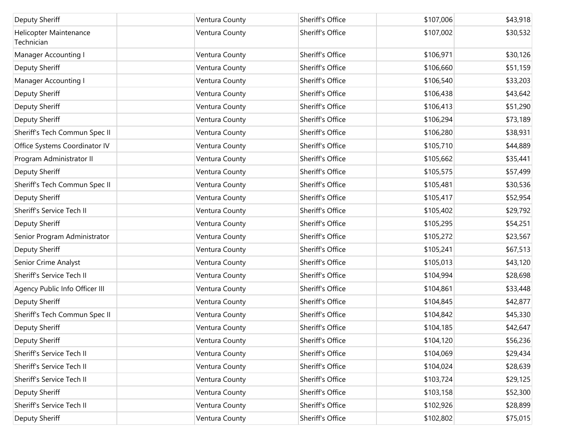| Deputy Sheriff                       | Ventura County | Sheriff's Office | \$107,006 | \$43,918 |
|--------------------------------------|----------------|------------------|-----------|----------|
| Helicopter Maintenance<br>Technician | Ventura County | Sheriff's Office | \$107,002 | \$30,532 |
| Manager Accounting I                 | Ventura County | Sheriff's Office | \$106,971 | \$30,126 |
| Deputy Sheriff                       | Ventura County | Sheriff's Office | \$106,660 | \$51,159 |
| Manager Accounting I                 | Ventura County | Sheriff's Office | \$106,540 | \$33,203 |
| Deputy Sheriff                       | Ventura County | Sheriff's Office | \$106,438 | \$43,642 |
| Deputy Sheriff                       | Ventura County | Sheriff's Office | \$106,413 | \$51,290 |
| Deputy Sheriff                       | Ventura County | Sheriff's Office | \$106,294 | \$73,189 |
| Sheriff's Tech Commun Spec II        | Ventura County | Sheriff's Office | \$106,280 | \$38,931 |
| Office Systems Coordinator IV        | Ventura County | Sheriff's Office | \$105,710 | \$44,889 |
| Program Administrator II             | Ventura County | Sheriff's Office | \$105,662 | \$35,441 |
| Deputy Sheriff                       | Ventura County | Sheriff's Office | \$105,575 | \$57,499 |
| Sheriff's Tech Commun Spec II        | Ventura County | Sheriff's Office | \$105,481 | \$30,536 |
| Deputy Sheriff                       | Ventura County | Sheriff's Office | \$105,417 | \$52,954 |
| Sheriff's Service Tech II            | Ventura County | Sheriff's Office | \$105,402 | \$29,792 |
| Deputy Sheriff                       | Ventura County | Sheriff's Office | \$105,295 | \$54,251 |
| Senior Program Administrator         | Ventura County | Sheriff's Office | \$105,272 | \$23,567 |
| Deputy Sheriff                       | Ventura County | Sheriff's Office | \$105,241 | \$67,513 |
| Senior Crime Analyst                 | Ventura County | Sheriff's Office | \$105,013 | \$43,120 |
| Sheriff's Service Tech II            | Ventura County | Sheriff's Office | \$104,994 | \$28,698 |
| Agency Public Info Officer III       | Ventura County | Sheriff's Office | \$104,861 | \$33,448 |
| Deputy Sheriff                       | Ventura County | Sheriff's Office | \$104,845 | \$42,877 |
| Sheriff's Tech Commun Spec II        | Ventura County | Sheriff's Office | \$104,842 | \$45,330 |
| Deputy Sheriff                       | Ventura County | Sheriff's Office | \$104,185 | \$42,647 |
| Deputy Sheriff                       | Ventura County | Sheriff's Office | \$104,120 | \$56,236 |
| Sheriff's Service Tech II            | Ventura County | Sheriff's Office | \$104,069 | \$29,434 |
| Sheriff's Service Tech II            | Ventura County | Sheriff's Office | \$104,024 | \$28,639 |
| Sheriff's Service Tech II            | Ventura County | Sheriff's Office | \$103,724 | \$29,125 |
| Deputy Sheriff                       | Ventura County | Sheriff's Office | \$103,158 | \$52,300 |
| Sheriff's Service Tech II            | Ventura County | Sheriff's Office | \$102,926 | \$28,899 |
| Deputy Sheriff                       | Ventura County | Sheriff's Office | \$102,802 | \$75,015 |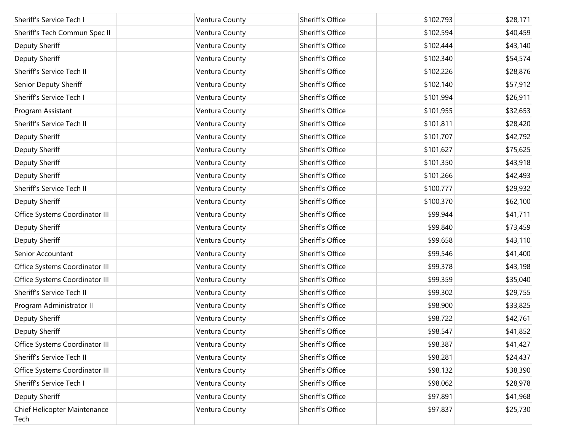| Sheriff's Service Tech I             | Ventura County | Sheriff's Office | \$102,793 | \$28,171 |
|--------------------------------------|----------------|------------------|-----------|----------|
| Sheriff's Tech Commun Spec II        | Ventura County | Sheriff's Office | \$102,594 | \$40,459 |
| Deputy Sheriff                       | Ventura County | Sheriff's Office | \$102,444 | \$43,140 |
| Deputy Sheriff                       | Ventura County | Sheriff's Office | \$102,340 | \$54,574 |
| Sheriff's Service Tech II            | Ventura County | Sheriff's Office | \$102,226 | \$28,876 |
| Senior Deputy Sheriff                | Ventura County | Sheriff's Office | \$102,140 | \$57,912 |
| Sheriff's Service Tech I             | Ventura County | Sheriff's Office | \$101,994 | \$26,911 |
| Program Assistant                    | Ventura County | Sheriff's Office | \$101,955 | \$32,653 |
| Sheriff's Service Tech II            | Ventura County | Sheriff's Office | \$101,811 | \$28,420 |
| Deputy Sheriff                       | Ventura County | Sheriff's Office | \$101,707 | \$42,792 |
| Deputy Sheriff                       | Ventura County | Sheriff's Office | \$101,627 | \$75,625 |
| Deputy Sheriff                       | Ventura County | Sheriff's Office | \$101,350 | \$43,918 |
| Deputy Sheriff                       | Ventura County | Sheriff's Office | \$101,266 | \$42,493 |
| Sheriff's Service Tech II            | Ventura County | Sheriff's Office | \$100,777 | \$29,932 |
| Deputy Sheriff                       | Ventura County | Sheriff's Office | \$100,370 | \$62,100 |
| Office Systems Coordinator III       | Ventura County | Sheriff's Office | \$99,944  | \$41,711 |
| Deputy Sheriff                       | Ventura County | Sheriff's Office | \$99,840  | \$73,459 |
| Deputy Sheriff                       | Ventura County | Sheriff's Office | \$99,658  | \$43,110 |
| Senior Accountant                    | Ventura County | Sheriff's Office | \$99,546  | \$41,400 |
| Office Systems Coordinator III       | Ventura County | Sheriff's Office | \$99,378  | \$43,198 |
| Office Systems Coordinator III       | Ventura County | Sheriff's Office | \$99,359  | \$35,040 |
| Sheriff's Service Tech II            | Ventura County | Sheriff's Office | \$99,302  | \$29,755 |
| Program Administrator II             | Ventura County | Sheriff's Office | \$98,900  | \$33,825 |
| Deputy Sheriff                       | Ventura County | Sheriff's Office | \$98,722  | \$42,761 |
| Deputy Sheriff                       | Ventura County | Sheriff's Office | \$98,547  | \$41,852 |
| Office Systems Coordinator III       | Ventura County | Sheriff's Office | \$98,387  | \$41,427 |
| Sheriff's Service Tech II            | Ventura County | Sheriff's Office | \$98,281  | \$24,437 |
| Office Systems Coordinator III       | Ventura County | Sheriff's Office | \$98,132  | \$38,390 |
| Sheriff's Service Tech I             | Ventura County | Sheriff's Office | \$98,062  | \$28,978 |
| Deputy Sheriff                       | Ventura County | Sheriff's Office | \$97,891  | \$41,968 |
| Chief Helicopter Maintenance<br>Tech | Ventura County | Sheriff's Office | \$97,837  | \$25,730 |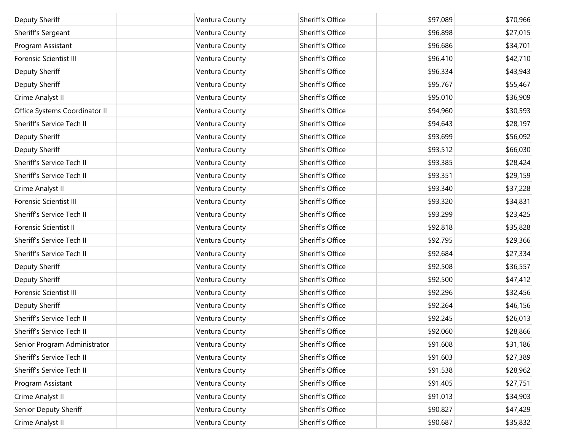| Deputy Sheriff                | Ventura County | Sheriff's Office | \$97,089 | \$70,966 |
|-------------------------------|----------------|------------------|----------|----------|
| Sheriff's Sergeant            | Ventura County | Sheriff's Office | \$96,898 | \$27,015 |
|                               |                | Sheriff's Office |          |          |
| Program Assistant             | Ventura County |                  | \$96,686 | \$34,701 |
| <b>Forensic Scientist III</b> | Ventura County | Sheriff's Office | \$96,410 | \$42,710 |
| Deputy Sheriff                | Ventura County | Sheriff's Office | \$96,334 | \$43,943 |
| Deputy Sheriff                | Ventura County | Sheriff's Office | \$95,767 | \$55,467 |
| Crime Analyst II              | Ventura County | Sheriff's Office | \$95,010 | \$36,909 |
| Office Systems Coordinator II | Ventura County | Sheriff's Office | \$94,960 | \$30,593 |
| Sheriff's Service Tech II     | Ventura County | Sheriff's Office | \$94,643 | \$28,197 |
| Deputy Sheriff                | Ventura County | Sheriff's Office | \$93,699 | \$56,092 |
| Deputy Sheriff                | Ventura County | Sheriff's Office | \$93,512 | \$66,030 |
| Sheriff's Service Tech II     | Ventura County | Sheriff's Office | \$93,385 | \$28,424 |
| Sheriff's Service Tech II     | Ventura County | Sheriff's Office | \$93,351 | \$29,159 |
| Crime Analyst II              | Ventura County | Sheriff's Office | \$93,340 | \$37,228 |
| <b>Forensic Scientist III</b> | Ventura County | Sheriff's Office | \$93,320 | \$34,831 |
| Sheriff's Service Tech II     | Ventura County | Sheriff's Office | \$93,299 | \$23,425 |
| Forensic Scientist II         | Ventura County | Sheriff's Office | \$92,818 | \$35,828 |
| Sheriff's Service Tech II     | Ventura County | Sheriff's Office | \$92,795 | \$29,366 |
| Sheriff's Service Tech II     | Ventura County | Sheriff's Office | \$92,684 | \$27,334 |
| Deputy Sheriff                | Ventura County | Sheriff's Office | \$92,508 | \$36,557 |
| Deputy Sheriff                | Ventura County | Sheriff's Office | \$92,500 | \$47,412 |
| Forensic Scientist III        | Ventura County | Sheriff's Office | \$92,296 | \$32,456 |
| Deputy Sheriff                | Ventura County | Sheriff's Office | \$92,264 | \$46,156 |
| Sheriff's Service Tech II     | Ventura County | Sheriff's Office | \$92,245 | \$26,013 |
| Sheriff's Service Tech II     | Ventura County | Sheriff's Office | \$92,060 | \$28,866 |
| Senior Program Administrator  | Ventura County | Sheriff's Office | \$91,608 | \$31,186 |
| Sheriff's Service Tech II     | Ventura County | Sheriff's Office | \$91,603 | \$27,389 |
| Sheriff's Service Tech II     | Ventura County | Sheriff's Office | \$91,538 | \$28,962 |
| Program Assistant             | Ventura County | Sheriff's Office | \$91,405 | \$27,751 |
| Crime Analyst II              | Ventura County | Sheriff's Office | \$91,013 | \$34,903 |
| Senior Deputy Sheriff         | Ventura County | Sheriff's Office | \$90,827 | \$47,429 |
| Crime Analyst II              | Ventura County | Sheriff's Office | \$90,687 | \$35,832 |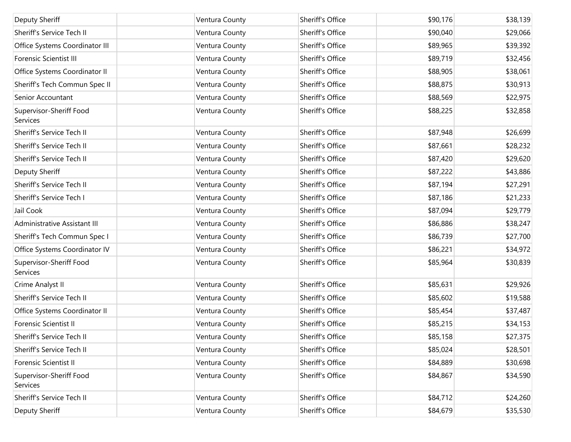| Deputy Sheriff                      | Ventura County | Sheriff's Office | \$90,176 | \$38,139 |
|-------------------------------------|----------------|------------------|----------|----------|
| Sheriff's Service Tech II           | Ventura County | Sheriff's Office | \$90,040 | \$29,066 |
| Office Systems Coordinator III      | Ventura County | Sheriff's Office | \$89,965 | \$39,392 |
| <b>Forensic Scientist III</b>       | Ventura County | Sheriff's Office | \$89,719 | \$32,456 |
| Office Systems Coordinator II       | Ventura County | Sheriff's Office | \$88,905 | \$38,061 |
| Sheriff's Tech Commun Spec II       | Ventura County | Sheriff's Office | \$88,875 | \$30,913 |
| Senior Accountant                   | Ventura County | Sheriff's Office | \$88,569 | \$22,975 |
| Supervisor-Sheriff Food<br>Services | Ventura County | Sheriff's Office | \$88,225 | \$32,858 |
| Sheriff's Service Tech II           | Ventura County | Sheriff's Office | \$87,948 | \$26,699 |
| Sheriff's Service Tech II           | Ventura County | Sheriff's Office | \$87,661 | \$28,232 |
| Sheriff's Service Tech II           | Ventura County | Sheriff's Office | \$87,420 | \$29,620 |
| Deputy Sheriff                      | Ventura County | Sheriff's Office | \$87,222 | \$43,886 |
| Sheriff's Service Tech II           | Ventura County | Sheriff's Office | \$87,194 | \$27,291 |
| Sheriff's Service Tech I            | Ventura County | Sheriff's Office | \$87,186 | \$21,233 |
| Jail Cook                           | Ventura County | Sheriff's Office | \$87,094 | \$29,779 |
| Administrative Assistant III        | Ventura County | Sheriff's Office | \$86,886 | \$38,247 |
| Sheriff's Tech Commun Spec I        | Ventura County | Sheriff's Office | \$86,739 | \$27,700 |
| Office Systems Coordinator IV       | Ventura County | Sheriff's Office | \$86,221 | \$34,972 |
| Supervisor-Sheriff Food<br>Services | Ventura County | Sheriff's Office | \$85,964 | \$30,839 |
| Crime Analyst II                    | Ventura County | Sheriff's Office | \$85,631 | \$29,926 |
| Sheriff's Service Tech II           | Ventura County | Sheriff's Office | \$85,602 | \$19,588 |
| Office Systems Coordinator II       | Ventura County | Sheriff's Office | \$85,454 | \$37,487 |
| Forensic Scientist II               | Ventura County | Sheriff's Office | \$85,215 | \$34,153 |
| Sheriff's Service Tech II           | Ventura County | Sheriff's Office | \$85,158 | \$27,375 |
| Sheriff's Service Tech II           | Ventura County | Sheriff's Office | \$85,024 | \$28,501 |
| Forensic Scientist II               | Ventura County | Sheriff's Office | \$84,889 | \$30,698 |
| Supervisor-Sheriff Food<br>Services | Ventura County | Sheriff's Office | \$84,867 | \$34,590 |
| Sheriff's Service Tech II           | Ventura County | Sheriff's Office | \$84,712 | \$24,260 |
| Deputy Sheriff                      | Ventura County | Sheriff's Office | \$84,679 | \$35,530 |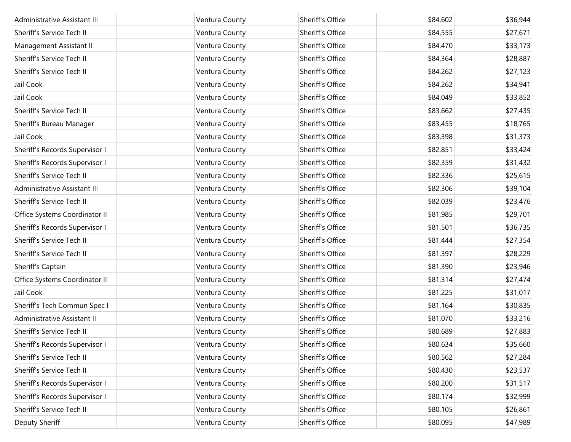| Administrative Assistant III   | Ventura County | Sheriff's Office | \$84,602 | \$36,944 |
|--------------------------------|----------------|------------------|----------|----------|
| Sheriff's Service Tech II      | Ventura County | Sheriff's Office | \$84,555 | \$27,671 |
| Management Assistant II        | Ventura County | Sheriff's Office | \$84,470 | \$33,173 |
| Sheriff's Service Tech II      | Ventura County | Sheriff's Office | \$84,364 | \$28,887 |
| Sheriff's Service Tech II      | Ventura County | Sheriff's Office | \$84,262 | \$27,123 |
| Jail Cook                      | Ventura County | Sheriff's Office | \$84,262 | \$34,941 |
| Jail Cook                      | Ventura County | Sheriff's Office | \$84,049 | \$33,852 |
| Sheriff's Service Tech II      | Ventura County | Sheriff's Office | \$83,662 | \$27,435 |
| Sheriff's Bureau Manager       | Ventura County | Sheriff's Office | \$83,455 | \$18,765 |
| Jail Cook                      | Ventura County | Sheriff's Office | \$83,398 | \$31,373 |
| Sheriff's Records Supervisor I | Ventura County | Sheriff's Office | \$82,851 | \$33,424 |
| Sheriff's Records Supervisor I | Ventura County | Sheriff's Office | \$82,359 | \$31,432 |
| Sheriff's Service Tech II      | Ventura County | Sheriff's Office | \$82,336 | \$25,615 |
| Administrative Assistant III   | Ventura County | Sheriff's Office | \$82,306 | \$39,104 |
| Sheriff's Service Tech II      | Ventura County | Sheriff's Office | \$82,039 | \$23,476 |
| Office Systems Coordinator II  | Ventura County | Sheriff's Office | \$81,985 | \$29,701 |
| Sheriff's Records Supervisor I | Ventura County | Sheriff's Office | \$81,501 | \$36,735 |
| Sheriff's Service Tech II      | Ventura County | Sheriff's Office | \$81,444 | \$27,354 |
| Sheriff's Service Tech II      | Ventura County | Sheriff's Office | \$81,397 | \$28,229 |
| Sheriff's Captain              | Ventura County | Sheriff's Office | \$81,390 | \$23,946 |
| Office Systems Coordinator II  | Ventura County | Sheriff's Office | \$81,314 | \$27,474 |
| Jail Cook                      | Ventura County | Sheriff's Office | \$81,225 | \$31,017 |
| Sheriff's Tech Commun Spec I   | Ventura County | Sheriff's Office | \$81,164 | \$30,835 |
| Administrative Assistant II    | Ventura County | Sheriff's Office | \$81,070 | \$33,216 |
| Sheriff's Service Tech II      | Ventura County | Sheriff's Office | \$80,689 | \$27,883 |
| Sheriff's Records Supervisor I | Ventura County | Sheriff's Office | \$80,634 | \$35,660 |
| Sheriff's Service Tech II      | Ventura County | Sheriff's Office | \$80,562 | \$27,284 |
| Sheriff's Service Tech II      | Ventura County | Sheriff's Office | \$80,430 | \$23,537 |
| Sheriff's Records Supervisor I | Ventura County | Sheriff's Office | \$80,200 | \$31,517 |
| Sheriff's Records Supervisor I | Ventura County | Sheriff's Office | \$80,174 | \$32,999 |
| Sheriff's Service Tech II      | Ventura County | Sheriff's Office | \$80,105 | \$26,861 |
| Deputy Sheriff                 | Ventura County | Sheriff's Office | \$80,095 | \$47,989 |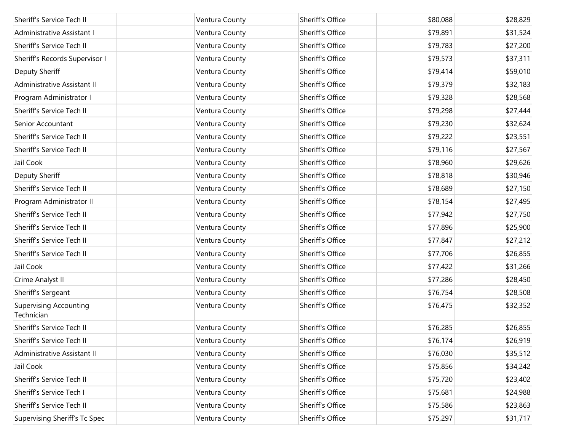| Sheriff's Service Tech II                   | Ventura County | Sheriff's Office | \$80,088 | \$28,829 |
|---------------------------------------------|----------------|------------------|----------|----------|
| Administrative Assistant I                  | Ventura County | Sheriff's Office | \$79,891 | \$31,524 |
| Sheriff's Service Tech II                   | Ventura County | Sheriff's Office | \$79,783 | \$27,200 |
| Sheriff's Records Supervisor I              | Ventura County | Sheriff's Office | \$79,573 | \$37,311 |
| Deputy Sheriff                              | Ventura County | Sheriff's Office | \$79,414 | \$59,010 |
| Administrative Assistant II                 | Ventura County | Sheriff's Office | \$79,379 | \$32,183 |
| Program Administrator I                     | Ventura County | Sheriff's Office | \$79,328 | \$28,568 |
| Sheriff's Service Tech II                   | Ventura County | Sheriff's Office | \$79,298 | \$27,444 |
| Senior Accountant                           | Ventura County | Sheriff's Office | \$79,230 | \$32,624 |
| Sheriff's Service Tech II                   | Ventura County | Sheriff's Office | \$79,222 | \$23,551 |
| Sheriff's Service Tech II                   | Ventura County | Sheriff's Office | \$79,116 | \$27,567 |
| Jail Cook                                   | Ventura County | Sheriff's Office | \$78,960 | \$29,626 |
| Deputy Sheriff                              | Ventura County | Sheriff's Office | \$78,818 | \$30,946 |
| Sheriff's Service Tech II                   | Ventura County | Sheriff's Office | \$78,689 | \$27,150 |
| Program Administrator II                    | Ventura County | Sheriff's Office | \$78,154 | \$27,495 |
| Sheriff's Service Tech II                   | Ventura County | Sheriff's Office | \$77,942 | \$27,750 |
| Sheriff's Service Tech II                   | Ventura County | Sheriff's Office | \$77,896 | \$25,900 |
| Sheriff's Service Tech II                   | Ventura County | Sheriff's Office | \$77,847 | \$27,212 |
| Sheriff's Service Tech II                   | Ventura County | Sheriff's Office | \$77,706 | \$26,855 |
| Jail Cook                                   | Ventura County | Sheriff's Office | \$77,422 | \$31,266 |
| Crime Analyst II                            | Ventura County | Sheriff's Office | \$77,286 | \$28,450 |
| Sheriff's Sergeant                          | Ventura County | Sheriff's Office | \$76,754 | \$28,508 |
| <b>Supervising Accounting</b><br>Technician | Ventura County | Sheriff's Office | \$76,475 | \$32,352 |
| Sheriff's Service Tech II                   | Ventura County | Sheriff's Office | \$76,285 | \$26,855 |
| Sheriff's Service Tech II                   | Ventura County | Sheriff's Office | \$76,174 | \$26,919 |
| Administrative Assistant II                 | Ventura County | Sheriff's Office | \$76,030 | \$35,512 |
| Jail Cook                                   | Ventura County | Sheriff's Office | \$75,856 | \$34,242 |
| Sheriff's Service Tech II                   | Ventura County | Sheriff's Office | \$75,720 | \$23,402 |
| Sheriff's Service Tech I                    | Ventura County | Sheriff's Office | \$75,681 | \$24,988 |
| Sheriff's Service Tech II                   | Ventura County | Sheriff's Office | \$75,586 | \$23,863 |
| Supervising Sheriff's Tc Spec               | Ventura County | Sheriff's Office | \$75,297 | \$31,717 |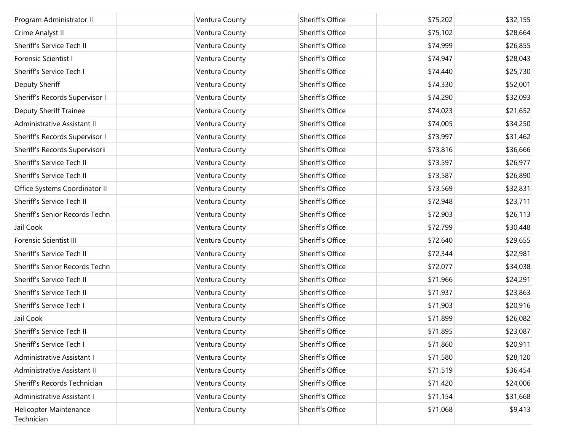| Program Administrator II             | Ventura County | Sheriff's Office | \$75,202 | \$32,155 |
|--------------------------------------|----------------|------------------|----------|----------|
| Crime Analyst II                     | Ventura County | Sheriff's Office | \$75,102 | \$28,664 |
| Sheriff's Service Tech II            | Ventura County | Sheriff's Office | \$74,999 | \$26,855 |
| Forensic Scientist I                 | Ventura County | Sheriff's Office | \$74,947 | \$28,043 |
| Sheriff's Service Tech I             | Ventura County | Sheriff's Office | \$74,440 | \$25,730 |
| Deputy Sheriff                       | Ventura County | Sheriff's Office | \$74,330 | \$52,001 |
| Sheriff's Records Supervisor I       | Ventura County | Sheriff's Office | \$74,290 | \$32,093 |
| <b>Deputy Sheriff Trainee</b>        | Ventura County | Sheriff's Office | \$74,023 | \$21,652 |
| Administrative Assistant II          | Ventura County | Sheriff's Office | \$74,005 | \$34,250 |
| Sheriff's Records Supervisor I       | Ventura County | Sheriff's Office | \$73,997 | \$31,462 |
| Sheriff's Records Supervisorii       | Ventura County | Sheriff's Office | \$73,816 | \$36,666 |
| Sheriff's Service Tech II            | Ventura County | Sheriff's Office | \$73,597 | \$26,977 |
| Sheriff's Service Tech II            | Ventura County | Sheriff's Office | \$73,587 | \$26,890 |
| Office Systems Coordinator II        | Ventura County | Sheriff's Office | \$73,569 | \$32,831 |
| Sheriff's Service Tech II            | Ventura County | Sheriff's Office | \$72,948 | \$23,711 |
| Sheriff's Senior Records Techn       | Ventura County | Sheriff's Office | \$72,903 | \$26,113 |
| Jail Cook                            | Ventura County | Sheriff's Office | \$72,799 | \$30,448 |
| <b>Forensic Scientist III</b>        | Ventura County | Sheriff's Office | \$72,640 | \$29,655 |
| Sheriff's Service Tech II            | Ventura County | Sheriff's Office | \$72,344 | \$22,981 |
| Sheriff's Senior Records Techn       | Ventura County | Sheriff's Office | \$72,077 | \$34,038 |
| Sheriff's Service Tech II            | Ventura County | Sheriff's Office | \$71,966 | \$24,291 |
| Sheriff's Service Tech II            | Ventura County | Sheriff's Office | \$71,937 | \$23,863 |
| Sheriff's Service Tech I             | Ventura County | Sheriff's Office | \$71,903 | \$20,916 |
| Jail Cook                            | Ventura County | Sheriff's Office | \$71,899 | \$26,082 |
| Sheriff's Service Tech II            | Ventura County | Sheriff's Office | \$71,895 | \$23,087 |
| Sheriff's Service Tech I             | Ventura County | Sheriff's Office | \$71,860 | \$20,911 |
| Administrative Assistant I           | Ventura County | Sheriff's Office | \$71,580 | \$28,120 |
| Administrative Assistant II          | Ventura County | Sheriff's Office | \$71,519 | \$36,454 |
| Sheriff's Records Technician         | Ventura County | Sheriff's Office | \$71,420 | \$24,006 |
| Administrative Assistant I           | Ventura County | Sheriff's Office | \$71,154 | \$31,668 |
| Helicopter Maintenance<br>Technician | Ventura County | Sheriff's Office | \$71,068 | \$9,413  |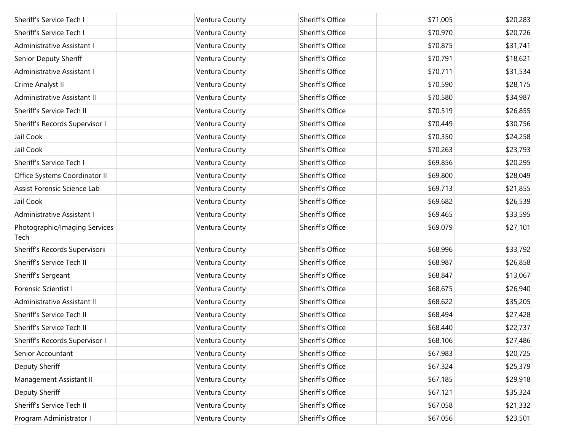| Sheriff's Service Tech I              | Ventura County | Sheriff's Office | \$71,005 | \$20,283 |
|---------------------------------------|----------------|------------------|----------|----------|
| Sheriff's Service Tech I              | Ventura County | Sheriff's Office | \$70,970 | \$20,726 |
| Administrative Assistant I            | Ventura County | Sheriff's Office | \$70,875 | \$31,741 |
| Senior Deputy Sheriff                 | Ventura County | Sheriff's Office | \$70,791 | \$18,621 |
| Administrative Assistant I            | Ventura County | Sheriff's Office | \$70,711 | \$31,534 |
| Crime Analyst II                      | Ventura County | Sheriff's Office | \$70,590 | \$28,175 |
| Administrative Assistant II           | Ventura County | Sheriff's Office | \$70,580 | \$34,987 |
| Sheriff's Service Tech II             | Ventura County | Sheriff's Office | \$70,519 | \$26,855 |
| Sheriff's Records Supervisor I        | Ventura County | Sheriff's Office | \$70,449 | \$30,756 |
| Jail Cook                             | Ventura County | Sheriff's Office | \$70,350 | \$24,258 |
| Jail Cook                             | Ventura County | Sheriff's Office | \$70,263 | \$23,793 |
| Sheriff's Service Tech I              | Ventura County | Sheriff's Office | \$69,856 | \$20,295 |
| Office Systems Coordinator II         | Ventura County | Sheriff's Office | \$69,800 | \$28,049 |
| Assist Forensic Science Lab           | Ventura County | Sheriff's Office | \$69,713 | \$21,855 |
| Jail Cook                             | Ventura County | Sheriff's Office | \$69,682 | \$26,539 |
| Administrative Assistant I            | Ventura County | Sheriff's Office | \$69,465 | \$33,595 |
| Photographic/Imaging Services<br>Tech | Ventura County | Sheriff's Office | \$69,079 | \$27,101 |
| Sheriff's Records Supervisorii        | Ventura County | Sheriff's Office | \$68,996 | \$33,792 |
| Sheriff's Service Tech II             | Ventura County | Sheriff's Office | \$68,987 | \$26,858 |
| Sheriff's Sergeant                    | Ventura County | Sheriff's Office | \$68,847 | \$13,067 |
| Forensic Scientist I                  | Ventura County | Sheriff's Office | \$68,675 | \$26,940 |
| Administrative Assistant II           | Ventura County | Sheriff's Office | \$68,622 | \$35,205 |
| Sheriff's Service Tech II             | Ventura County | Sheriff's Office | \$68,494 | \$27,428 |
| Sheriff's Service Tech II             | Ventura County | Sheriff's Office | \$68,440 | \$22,737 |
| Sheriff's Records Supervisor I        | Ventura County | Sheriff's Office | \$68,106 | \$27,486 |
| Senior Accountant                     | Ventura County | Sheriff's Office | \$67,983 | \$20,725 |
| Deputy Sheriff                        | Ventura County | Sheriff's Office | \$67,324 | \$25,379 |
| Management Assistant II               | Ventura County | Sheriff's Office | \$67,185 | \$29,918 |
| Deputy Sheriff                        | Ventura County | Sheriff's Office | \$67,121 | \$35,324 |
| Sheriff's Service Tech II             | Ventura County | Sheriff's Office | \$67,058 | \$21,332 |
| Program Administrator I               | Ventura County | Sheriff's Office | \$67,056 | \$23,501 |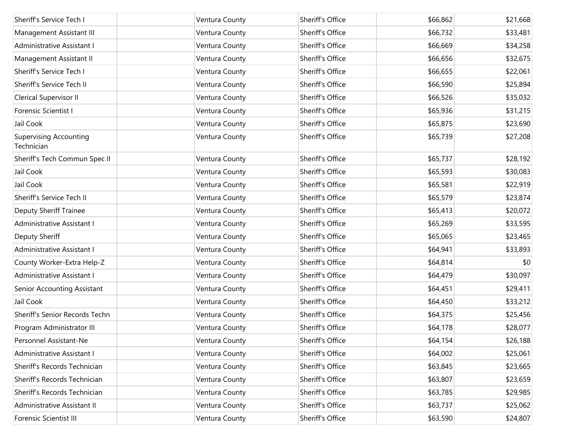| Sheriff's Service Tech I                    | Ventura County | Sheriff's Office | \$66,862 | \$21,668 |
|---------------------------------------------|----------------|------------------|----------|----------|
| Management Assistant III                    | Ventura County | Sheriff's Office | \$66,732 | \$33,481 |
| Administrative Assistant I                  | Ventura County | Sheriff's Office | \$66,669 | \$34,258 |
| Management Assistant II                     | Ventura County | Sheriff's Office | \$66,656 | \$32,675 |
| Sheriff's Service Tech I                    | Ventura County | Sheriff's Office | \$66,655 | \$22,061 |
| Sheriff's Service Tech II                   | Ventura County | Sheriff's Office | \$66,590 | \$25,894 |
| <b>Clerical Supervisor II</b>               | Ventura County | Sheriff's Office | \$66,526 | \$35,032 |
| Forensic Scientist I                        | Ventura County | Sheriff's Office | \$65,936 | \$31,215 |
| Jail Cook                                   | Ventura County | Sheriff's Office | \$65,875 | \$23,690 |
| <b>Supervising Accounting</b><br>Technician | Ventura County | Sheriff's Office | \$65,739 | \$27,208 |
| Sheriff's Tech Commun Spec II               | Ventura County | Sheriff's Office | \$65,737 | \$28,192 |
| Jail Cook                                   | Ventura County | Sheriff's Office | \$65,593 | \$30,083 |
| Jail Cook                                   | Ventura County | Sheriff's Office | \$65,581 | \$22,919 |
| Sheriff's Service Tech II                   | Ventura County | Sheriff's Office | \$65,579 | \$23,874 |
| <b>Deputy Sheriff Trainee</b>               | Ventura County | Sheriff's Office | \$65,413 | \$20,072 |
| Administrative Assistant I                  | Ventura County | Sheriff's Office | \$65,269 | \$33,595 |
| Deputy Sheriff                              | Ventura County | Sheriff's Office | \$65,065 | \$23,465 |
| Administrative Assistant I                  | Ventura County | Sheriff's Office | \$64,941 | \$33,893 |
| County Worker-Extra Help-Z                  | Ventura County | Sheriff's Office | \$64,814 | \$0      |
| Administrative Assistant I                  | Ventura County | Sheriff's Office | \$64,479 | \$30,097 |
| Senior Accounting Assistant                 | Ventura County | Sheriff's Office | \$64,451 | \$29,411 |
| Jail Cook                                   | Ventura County | Sheriff's Office | \$64,450 | \$33,212 |
| Sheriff's Senior Records Techn              | Ventura County | Sheriff's Office | \$64,375 | \$25,456 |
| Program Administrator III                   | Ventura County | Sheriff's Office | \$64,178 | \$28,077 |
| Personnel Assistant-Ne                      | Ventura County | Sheriff's Office | \$64,154 | \$26,188 |
| Administrative Assistant I                  | Ventura County | Sheriff's Office | \$64,002 | \$25,061 |
| Sheriff's Records Technician                | Ventura County | Sheriff's Office | \$63,845 | \$23,665 |
| Sheriff's Records Technician                | Ventura County | Sheriff's Office | \$63,807 | \$23,659 |
| Sheriff's Records Technician                | Ventura County | Sheriff's Office | \$63,785 | \$29,985 |
| Administrative Assistant II                 | Ventura County | Sheriff's Office | \$63,737 | \$25,062 |
| <b>Forensic Scientist III</b>               | Ventura County | Sheriff's Office | \$63,590 | \$24,807 |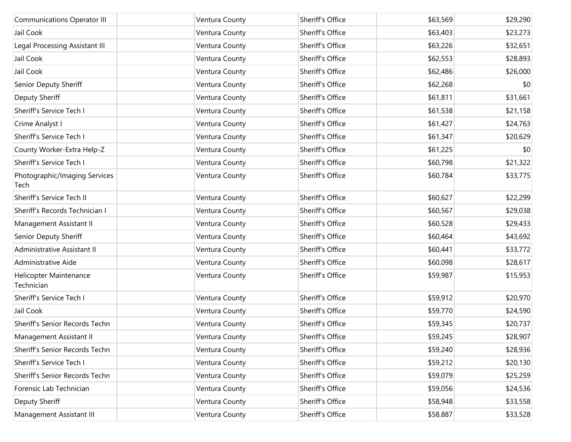| <b>Communications Operator III</b>    | Ventura County | Sheriff's Office | \$63,569 | \$29,290 |
|---------------------------------------|----------------|------------------|----------|----------|
| Jail Cook                             | Ventura County | Sheriff's Office | \$63,403 | \$23,273 |
| Legal Processing Assistant III        | Ventura County | Sheriff's Office | \$63,226 | \$32,651 |
| Jail Cook                             | Ventura County | Sheriff's Office | \$62,553 | \$28,893 |
| Jail Cook                             | Ventura County | Sheriff's Office | \$62,486 | \$26,000 |
| Senior Deputy Sheriff                 | Ventura County | Sheriff's Office | \$62,268 | \$0      |
| Deputy Sheriff                        | Ventura County | Sheriff's Office | \$61,811 | \$31,661 |
| Sheriff's Service Tech I              | Ventura County | Sheriff's Office | \$61,538 | \$21,158 |
| Crime Analyst I                       | Ventura County | Sheriff's Office | \$61,427 | \$24,763 |
| Sheriff's Service Tech I              | Ventura County | Sheriff's Office | \$61,347 | \$20,629 |
| County Worker-Extra Help-Z            | Ventura County | Sheriff's Office | \$61,225 | \$0      |
| Sheriff's Service Tech I              | Ventura County | Sheriff's Office | \$60,798 | \$21,322 |
| Photographic/Imaging Services<br>Tech | Ventura County | Sheriff's Office | \$60,784 | \$33,775 |
| Sheriff's Service Tech II             | Ventura County | Sheriff's Office | \$60,627 | \$22,299 |
| Sheriff's Records Technician I        | Ventura County | Sheriff's Office | \$60,567 | \$29,038 |
| Management Assistant II               | Ventura County | Sheriff's Office | \$60,528 | \$29,433 |
| Senior Deputy Sheriff                 | Ventura County | Sheriff's Office | \$60,464 | \$43,692 |
| Administrative Assistant II           | Ventura County | Sheriff's Office | \$60,441 | \$33,772 |
| Administrative Aide                   | Ventura County | Sheriff's Office | \$60,098 | \$28,617 |
| Helicopter Maintenance<br>Technician  | Ventura County | Sheriff's Office | \$59,987 | \$15,953 |
| Sheriff's Service Tech I              | Ventura County | Sheriff's Office | \$59,912 | \$20,970 |
| Jail Cook                             | Ventura County | Sheriff's Office | \$59,770 | \$24,590 |
| Sheriff's Senior Records Techn        | Ventura County | Sheriff's Office | \$59,345 | \$20,737 |
| Management Assistant II               | Ventura County | Sheriff's Office | \$59,245 | \$28,907 |
| Sheriff's Senior Records Techn        | Ventura County | Sheriff's Office | \$59,240 | \$28,936 |
| Sheriff's Service Tech I              | Ventura County | Sheriff's Office | \$59,212 | \$20,130 |
| Sheriff's Senior Records Techn        | Ventura County | Sheriff's Office | \$59,079 | \$25,259 |
| Forensic Lab Technician               | Ventura County | Sheriff's Office | \$59,056 | \$24,536 |
| Deputy Sheriff                        | Ventura County | Sheriff's Office | \$58,948 | \$33,558 |
| Management Assistant III              | Ventura County | Sheriff's Office | \$58,887 | \$33,528 |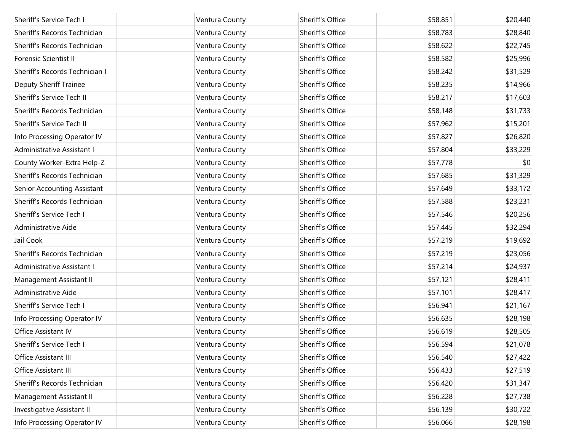| Sheriff's Service Tech I       |                | Sheriff's Office | \$58,851 | \$20,440 |
|--------------------------------|----------------|------------------|----------|----------|
|                                | Ventura County |                  |          |          |
| Sheriff's Records Technician   | Ventura County | Sheriff's Office | \$58,783 | \$28,840 |
| Sheriff's Records Technician   | Ventura County | Sheriff's Office | \$58,622 | \$22,745 |
| Forensic Scientist II          | Ventura County | Sheriff's Office | \$58,582 | \$25,996 |
| Sheriff's Records Technician I | Ventura County | Sheriff's Office | \$58,242 | \$31,529 |
| <b>Deputy Sheriff Trainee</b>  | Ventura County | Sheriff's Office | \$58,235 | \$14,966 |
| Sheriff's Service Tech II      | Ventura County | Sheriff's Office | \$58,217 | \$17,603 |
| Sheriff's Records Technician   | Ventura County | Sheriff's Office | \$58,148 | \$31,733 |
| Sheriff's Service Tech II      | Ventura County | Sheriff's Office | \$57,962 | \$15,201 |
| Info Processing Operator IV    | Ventura County | Sheriff's Office | \$57,827 | \$26,820 |
| Administrative Assistant I     | Ventura County | Sheriff's Office | \$57,804 | \$33,229 |
| County Worker-Extra Help-Z     | Ventura County | Sheriff's Office | \$57,778 | \$0      |
| Sheriff's Records Technician   | Ventura County | Sheriff's Office | \$57,685 | \$31,329 |
| Senior Accounting Assistant    | Ventura County | Sheriff's Office | \$57,649 | \$33,172 |
| Sheriff's Records Technician   | Ventura County | Sheriff's Office | \$57,588 | \$23,231 |
| Sheriff's Service Tech I       | Ventura County | Sheriff's Office | \$57,546 | \$20,256 |
| Administrative Aide            | Ventura County | Sheriff's Office | \$57,445 | \$32,294 |
| Jail Cook                      | Ventura County | Sheriff's Office | \$57,219 | \$19,692 |
| Sheriff's Records Technician   | Ventura County | Sheriff's Office | \$57,219 | \$23,056 |
| Administrative Assistant I     | Ventura County | Sheriff's Office | \$57,214 | \$24,937 |
| Management Assistant II        | Ventura County | Sheriff's Office | \$57,121 | \$28,411 |
| Administrative Aide            | Ventura County | Sheriff's Office | \$57,101 | \$28,417 |
| Sheriff's Service Tech I       | Ventura County | Sheriff's Office | \$56,941 | \$21,167 |
| Info Processing Operator IV    | Ventura County | Sheriff's Office | \$56,635 | \$28,198 |
| Office Assistant IV            | Ventura County | Sheriff's Office | \$56,619 | \$28,505 |
| Sheriff's Service Tech I       | Ventura County | Sheriff's Office | \$56,594 | \$21,078 |
| Office Assistant III           | Ventura County | Sheriff's Office | \$56,540 | \$27,422 |
| Office Assistant III           | Ventura County | Sheriff's Office | \$56,433 | \$27,519 |
| Sheriff's Records Technician   | Ventura County | Sheriff's Office | \$56,420 | \$31,347 |
| Management Assistant II        | Ventura County | Sheriff's Office | \$56,228 | \$27,738 |
| Investigative Assistant II     | Ventura County | Sheriff's Office | \$56,139 | \$30,722 |
| Info Processing Operator IV    | Ventura County | Sheriff's Office | \$56,066 | \$28,198 |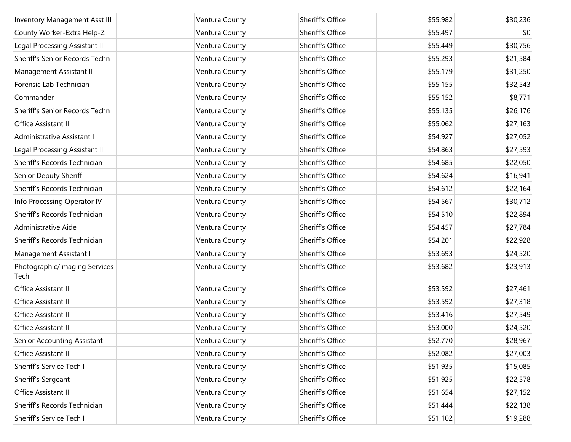| Inventory Management Asst III         | Ventura County | Sheriff's Office | \$55,982 | \$30,236 |
|---------------------------------------|----------------|------------------|----------|----------|
| County Worker-Extra Help-Z            | Ventura County | Sheriff's Office | \$55,497 | \$0      |
| Legal Processing Assistant II         | Ventura County | Sheriff's Office | \$55,449 | \$30,756 |
| Sheriff's Senior Records Techn        | Ventura County | Sheriff's Office | \$55,293 | \$21,584 |
| Management Assistant II               | Ventura County | Sheriff's Office | \$55,179 | \$31,250 |
| Forensic Lab Technician               | Ventura County | Sheriff's Office | \$55,155 | \$32,543 |
| Commander                             | Ventura County | Sheriff's Office | \$55,152 | \$8,771  |
| Sheriff's Senior Records Techn        | Ventura County | Sheriff's Office | \$55,135 | \$26,176 |
| Office Assistant III                  | Ventura County | Sheriff's Office | \$55,062 | \$27,163 |
| Administrative Assistant I            | Ventura County | Sheriff's Office | \$54,927 | \$27,052 |
| Legal Processing Assistant II         | Ventura County | Sheriff's Office | \$54,863 | \$27,593 |
| Sheriff's Records Technician          | Ventura County | Sheriff's Office | \$54,685 | \$22,050 |
| Senior Deputy Sheriff                 | Ventura County | Sheriff's Office | \$54,624 | \$16,941 |
| Sheriff's Records Technician          | Ventura County | Sheriff's Office | \$54,612 | \$22,164 |
| Info Processing Operator IV           | Ventura County | Sheriff's Office | \$54,567 | \$30,712 |
| Sheriff's Records Technician          | Ventura County | Sheriff's Office | \$54,510 | \$22,894 |
| Administrative Aide                   | Ventura County | Sheriff's Office | \$54,457 | \$27,784 |
| Sheriff's Records Technician          | Ventura County | Sheriff's Office | \$54,201 | \$22,928 |
| Management Assistant I                | Ventura County | Sheriff's Office | \$53,693 | \$24,520 |
| Photographic/Imaging Services<br>Tech | Ventura County | Sheriff's Office | \$53,682 | \$23,913 |
| Office Assistant III                  | Ventura County | Sheriff's Office | \$53,592 | \$27,461 |
| Office Assistant III                  | Ventura County | Sheriff's Office | \$53,592 | \$27,318 |
| Office Assistant III                  | Ventura County | Sheriff's Office | \$53,416 | \$27,549 |
| Office Assistant III                  | Ventura County | Sheriff's Office | \$53,000 | \$24,520 |
| Senior Accounting Assistant           | Ventura County | Sheriff's Office | \$52,770 | \$28,967 |
| Office Assistant III                  | Ventura County | Sheriff's Office | \$52,082 | \$27,003 |
| Sheriff's Service Tech I              | Ventura County | Sheriff's Office | \$51,935 | \$15,085 |
| Sheriff's Sergeant                    | Ventura County | Sheriff's Office | \$51,925 | \$22,578 |
| Office Assistant III                  | Ventura County | Sheriff's Office | \$51,654 | \$27,152 |
| Sheriff's Records Technician          | Ventura County | Sheriff's Office | \$51,444 | \$22,138 |
| Sheriff's Service Tech I              | Ventura County | Sheriff's Office | \$51,102 | \$19,288 |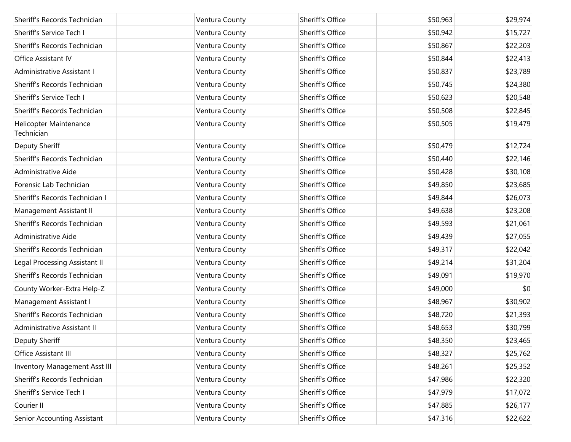| Sheriff's Records Technician         | Ventura County | Sheriff's Office | \$50,963 | \$29,974 |
|--------------------------------------|----------------|------------------|----------|----------|
| Sheriff's Service Tech I             | Ventura County | Sheriff's Office | \$50,942 | \$15,727 |
| Sheriff's Records Technician         | Ventura County | Sheriff's Office | \$50,867 | \$22,203 |
| Office Assistant IV                  | Ventura County | Sheriff's Office | \$50,844 | \$22,413 |
| Administrative Assistant I           | Ventura County | Sheriff's Office | \$50,837 | \$23,789 |
| Sheriff's Records Technician         | Ventura County | Sheriff's Office | \$50,745 | \$24,380 |
| Sheriff's Service Tech I             | Ventura County | Sheriff's Office | \$50,623 | \$20,548 |
| Sheriff's Records Technician         | Ventura County | Sheriff's Office | \$50,508 | \$22,845 |
| Helicopter Maintenance<br>Technician | Ventura County | Sheriff's Office | \$50,505 | \$19,479 |
| Deputy Sheriff                       | Ventura County | Sheriff's Office | \$50,479 | \$12,724 |
| Sheriff's Records Technician         | Ventura County | Sheriff's Office | \$50,440 | \$22,146 |
| Administrative Aide                  | Ventura County | Sheriff's Office | \$50,428 | \$30,108 |
| Forensic Lab Technician              | Ventura County | Sheriff's Office | \$49,850 | \$23,685 |
| Sheriff's Records Technician I       | Ventura County | Sheriff's Office | \$49,844 | \$26,073 |
| Management Assistant II              | Ventura County | Sheriff's Office | \$49,638 | \$23,208 |
| Sheriff's Records Technician         | Ventura County | Sheriff's Office | \$49,593 | \$21,061 |
| Administrative Aide                  | Ventura County | Sheriff's Office | \$49,439 | \$27,055 |
| Sheriff's Records Technician         | Ventura County | Sheriff's Office | \$49,317 | \$22,042 |
| Legal Processing Assistant II        | Ventura County | Sheriff's Office | \$49,214 | \$31,204 |
| Sheriff's Records Technician         | Ventura County | Sheriff's Office | \$49,091 | \$19,970 |
| County Worker-Extra Help-Z           | Ventura County | Sheriff's Office | \$49,000 | \$0      |
| Management Assistant I               | Ventura County | Sheriff's Office | \$48,967 | \$30,902 |
| Sheriff's Records Technician         | Ventura County | Sheriff's Office | \$48,720 | \$21,393 |
| Administrative Assistant II          | Ventura County | Sheriff's Office | \$48,653 | \$30,799 |
| Deputy Sheriff                       | Ventura County | Sheriff's Office | \$48,350 | \$23,465 |
| Office Assistant III                 | Ventura County | Sheriff's Office | \$48,327 | \$25,762 |
| Inventory Management Asst III        | Ventura County | Sheriff's Office | \$48,261 | \$25,352 |
| Sheriff's Records Technician         | Ventura County | Sheriff's Office | \$47,986 | \$22,320 |
| Sheriff's Service Tech I             | Ventura County | Sheriff's Office | \$47,979 | \$17,072 |
| Courier II                           | Ventura County | Sheriff's Office | \$47,885 | \$26,177 |
| Senior Accounting Assistant          | Ventura County | Sheriff's Office | \$47,316 | \$22,622 |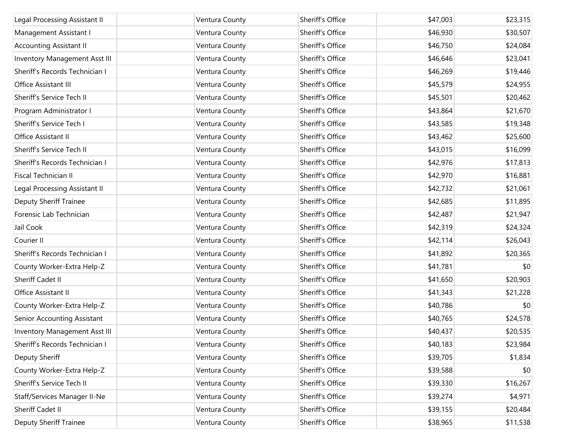| Legal Processing Assistant II        | Ventura County | Sheriff's Office | \$47,003 | \$23,315 |
|--------------------------------------|----------------|------------------|----------|----------|
| Management Assistant I               | Ventura County | Sheriff's Office | \$46,930 | \$30,507 |
| <b>Accounting Assistant II</b>       | Ventura County | Sheriff's Office | \$46,750 | \$24,084 |
| <b>Inventory Management Asst III</b> | Ventura County | Sheriff's Office | \$46,646 | \$23,041 |
| Sheriff's Records Technician I       | Ventura County | Sheriff's Office | \$46,269 | \$19,446 |
| Office Assistant III                 | Ventura County | Sheriff's Office | \$45,579 | \$24,955 |
| Sheriff's Service Tech II            | Ventura County | Sheriff's Office | \$45,501 | \$20,462 |
| Program Administrator I              | Ventura County | Sheriff's Office | \$43,864 | \$21,670 |
| Sheriff's Service Tech I             | Ventura County | Sheriff's Office | \$43,585 | \$19,348 |
| Office Assistant II                  | Ventura County | Sheriff's Office | \$43,462 | \$25,600 |
| Sheriff's Service Tech II            | Ventura County | Sheriff's Office | \$43,015 | \$16,099 |
| Sheriff's Records Technician I       | Ventura County | Sheriff's Office | \$42,976 | \$17,813 |
| Fiscal Technician II                 | Ventura County | Sheriff's Office | \$42,970 | \$16,881 |
| Legal Processing Assistant II        | Ventura County | Sheriff's Office | \$42,732 | \$21,061 |
| Deputy Sheriff Trainee               | Ventura County | Sheriff's Office | \$42,685 | \$11,895 |
| Forensic Lab Technician              | Ventura County | Sheriff's Office | \$42,487 | \$21,947 |
| Jail Cook                            | Ventura County | Sheriff's Office | \$42,319 | \$24,324 |
| Courier II                           | Ventura County | Sheriff's Office | \$42,114 | \$26,043 |
| Sheriff's Records Technician I       | Ventura County | Sheriff's Office | \$41,892 | \$20,365 |
| County Worker-Extra Help-Z           | Ventura County | Sheriff's Office | \$41,781 | \$0      |
| Sheriff Cadet II                     | Ventura County | Sheriff's Office | \$41,650 | \$20,903 |
| Office Assistant II                  | Ventura County | Sheriff's Office | \$41,343 | \$21,228 |
| County Worker-Extra Help-Z           | Ventura County | Sheriff's Office | \$40,786 | \$0      |
| Senior Accounting Assistant          | Ventura County | Sheriff's Office | \$40,765 | \$24,578 |
| Inventory Management Asst III        | Ventura County | Sheriff's Office | \$40,437 | \$20,535 |
| Sheriff's Records Technician I       | Ventura County | Sheriff's Office | \$40,183 | \$23,984 |
| Deputy Sheriff                       | Ventura County | Sheriff's Office | \$39,705 | \$1,834  |
| County Worker-Extra Help-Z           | Ventura County | Sheriff's Office | \$39,588 | \$0      |
| Sheriff's Service Tech II            | Ventura County | Sheriff's Office | \$39,330 | \$16,267 |
| Staff/Services Manager II-Ne         | Ventura County | Sheriff's Office | \$39,274 | \$4,971  |
| Sheriff Cadet II                     | Ventura County | Sheriff's Office | \$39,155 | \$20,484 |
| Deputy Sheriff Trainee               | Ventura County | Sheriff's Office | \$38,965 | \$11,538 |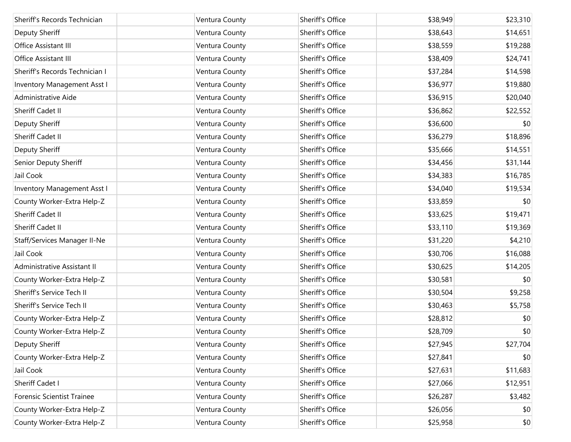| Sheriff's Records Technician   | Ventura County | Sheriff's Office | \$38,949 | \$23,310 |
|--------------------------------|----------------|------------------|----------|----------|
| Deputy Sheriff                 | Ventura County | Sheriff's Office | \$38,643 | \$14,651 |
| Office Assistant III           | Ventura County | Sheriff's Office | \$38,559 | \$19,288 |
| Office Assistant III           | Ventura County | Sheriff's Office | \$38,409 | \$24,741 |
| Sheriff's Records Technician I | Ventura County | Sheriff's Office | \$37,284 | \$14,598 |
| Inventory Management Asst I    | Ventura County | Sheriff's Office | \$36,977 | \$19,880 |
| Administrative Aide            | Ventura County | Sheriff's Office | \$36,915 | \$20,040 |
| <b>Sheriff Cadet II</b>        | Ventura County | Sheriff's Office | \$36,862 | \$22,552 |
| Deputy Sheriff                 | Ventura County | Sheriff's Office | \$36,600 | \$0      |
| Sheriff Cadet II               | Ventura County | Sheriff's Office | \$36,279 | \$18,896 |
| Deputy Sheriff                 | Ventura County | Sheriff's Office | \$35,666 | \$14,551 |
| Senior Deputy Sheriff          | Ventura County | Sheriff's Office | \$34,456 | \$31,144 |
| Jail Cook                      | Ventura County | Sheriff's Office | \$34,383 | \$16,785 |
| Inventory Management Asst I    | Ventura County | Sheriff's Office | \$34,040 | \$19,534 |
| County Worker-Extra Help-Z     | Ventura County | Sheriff's Office | \$33,859 | \$0      |
| Sheriff Cadet II               | Ventura County | Sheriff's Office | \$33,625 | \$19,471 |
| Sheriff Cadet II               | Ventura County | Sheriff's Office | \$33,110 | \$19,369 |
| Staff/Services Manager II-Ne   | Ventura County | Sheriff's Office | \$31,220 | \$4,210  |
| Jail Cook                      | Ventura County | Sheriff's Office | \$30,706 | \$16,088 |
| Administrative Assistant II    | Ventura County | Sheriff's Office | \$30,625 | \$14,205 |
| County Worker-Extra Help-Z     | Ventura County | Sheriff's Office | \$30,581 | \$0      |
| Sheriff's Service Tech II      | Ventura County | Sheriff's Office | \$30,504 | \$9,258  |
| Sheriff's Service Tech II      | Ventura County | Sheriff's Office | \$30,463 | \$5,758  |
| County Worker-Extra Help-Z     | Ventura County | Sheriff's Office | \$28,812 | \$0      |
| County Worker-Extra Help-Z     | Ventura County | Sheriff's Office | \$28,709 | \$0      |
| Deputy Sheriff                 | Ventura County | Sheriff's Office | \$27,945 | \$27,704 |
| County Worker-Extra Help-Z     | Ventura County | Sheriff's Office | \$27,841 | \$0      |
| Jail Cook                      | Ventura County | Sheriff's Office | \$27,631 | \$11,683 |
| Sheriff Cadet I                | Ventura County | Sheriff's Office | \$27,066 | \$12,951 |
| Forensic Scientist Trainee     | Ventura County | Sheriff's Office | \$26,287 | \$3,482  |
| County Worker-Extra Help-Z     | Ventura County | Sheriff's Office | \$26,056 | \$0      |
| County Worker-Extra Help-Z     | Ventura County | Sheriff's Office | \$25,958 | \$0      |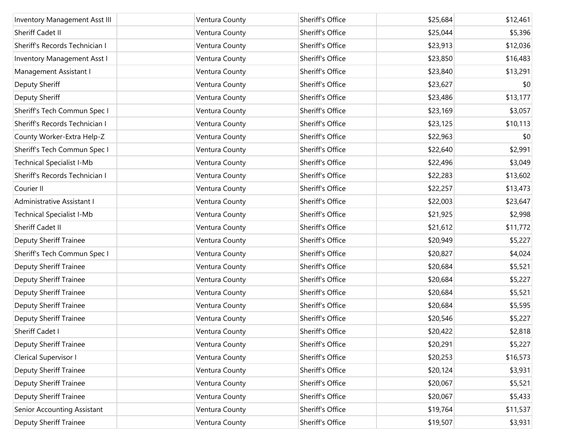| <b>Inventory Management Asst III</b> | Ventura County | Sheriff's Office | \$25,684 | \$12,461 |
|--------------------------------------|----------------|------------------|----------|----------|
| Sheriff Cadet II                     | Ventura County | Sheriff's Office | \$25,044 | \$5,396  |
| Sheriff's Records Technician I       | Ventura County | Sheriff's Office | \$23,913 | \$12,036 |
| Inventory Management Asst I          | Ventura County | Sheriff's Office | \$23,850 | \$16,483 |
| Management Assistant I               | Ventura County | Sheriff's Office | \$23,840 | \$13,291 |
| Deputy Sheriff                       | Ventura County | Sheriff's Office | \$23,627 | \$0      |
| Deputy Sheriff                       | Ventura County | Sheriff's Office | \$23,486 | \$13,177 |
| Sheriff's Tech Commun Spec I         | Ventura County | Sheriff's Office | \$23,169 | \$3,057  |
| Sheriff's Records Technician I       | Ventura County | Sheriff's Office | \$23,125 | \$10,113 |
| County Worker-Extra Help-Z           | Ventura County | Sheriff's Office | \$22,963 | \$0      |
| Sheriff's Tech Commun Spec I         | Ventura County | Sheriff's Office | \$22,640 | \$2,991  |
| <b>Technical Specialist I-Mb</b>     | Ventura County | Sheriff's Office | \$22,496 | \$3,049  |
| Sheriff's Records Technician I       | Ventura County | Sheriff's Office | \$22,283 | \$13,602 |
| Courier II                           | Ventura County | Sheriff's Office | \$22,257 | \$13,473 |
| Administrative Assistant I           | Ventura County | Sheriff's Office | \$22,003 | \$23,647 |
| Technical Specialist I-Mb            | Ventura County | Sheriff's Office | \$21,925 | \$2,998  |
| Sheriff Cadet II                     | Ventura County | Sheriff's Office | \$21,612 | \$11,772 |
| <b>Deputy Sheriff Trainee</b>        | Ventura County | Sheriff's Office | \$20,949 | \$5,227  |
| Sheriff's Tech Commun Spec I         | Ventura County | Sheriff's Office | \$20,827 | \$4,024  |
| <b>Deputy Sheriff Trainee</b>        | Ventura County | Sheriff's Office | \$20,684 | \$5,521  |
| <b>Deputy Sheriff Trainee</b>        | Ventura County | Sheriff's Office | \$20,684 | \$5,227  |
| <b>Deputy Sheriff Trainee</b>        | Ventura County | Sheriff's Office | \$20,684 | \$5,521  |
| <b>Deputy Sheriff Trainee</b>        | Ventura County | Sheriff's Office | \$20,684 | \$5,595  |
| <b>Deputy Sheriff Trainee</b>        | Ventura County | Sheriff's Office | \$20,546 | \$5,227  |
| Sheriff Cadet I                      | Ventura County | Sheriff's Office | \$20,422 | \$2,818  |
| <b>Deputy Sheriff Trainee</b>        | Ventura County | Sheriff's Office | \$20,291 | \$5,227  |
| Clerical Supervisor I                | Ventura County | Sheriff's Office | \$20,253 | \$16,573 |
| <b>Deputy Sheriff Trainee</b>        | Ventura County | Sheriff's Office | \$20,124 | \$3,931  |
| Deputy Sheriff Trainee               | Ventura County | Sheriff's Office | \$20,067 | \$5,521  |
| <b>Deputy Sheriff Trainee</b>        | Ventura County | Sheriff's Office | \$20,067 | \$5,433  |
| Senior Accounting Assistant          | Ventura County | Sheriff's Office | \$19,764 | \$11,537 |
| <b>Deputy Sheriff Trainee</b>        | Ventura County | Sheriff's Office | \$19,507 | \$3,931  |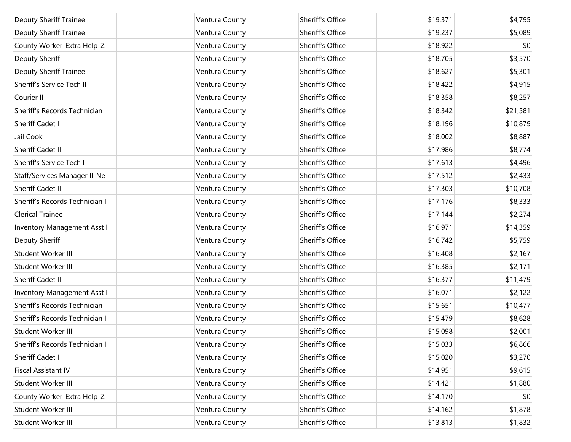| <b>Deputy Sheriff Trainee</b>  | Ventura County | Sheriff's Office | \$19,371 | \$4,795  |
|--------------------------------|----------------|------------------|----------|----------|
| Deputy Sheriff Trainee         | Ventura County | Sheriff's Office | \$19,237 | \$5,089  |
| County Worker-Extra Help-Z     | Ventura County | Sheriff's Office | \$18,922 | \$0      |
| Deputy Sheriff                 | Ventura County | Sheriff's Office | \$18,705 | \$3,570  |
| Deputy Sheriff Trainee         | Ventura County | Sheriff's Office | \$18,627 | \$5,301  |
| Sheriff's Service Tech II      | Ventura County | Sheriff's Office | \$18,422 | \$4,915  |
| Courier II                     | Ventura County | Sheriff's Office | \$18,358 | \$8,257  |
| Sheriff's Records Technician   | Ventura County | Sheriff's Office | \$18,342 | \$21,581 |
| Sheriff Cadet I                | Ventura County | Sheriff's Office | \$18,196 | \$10,879 |
| Jail Cook                      | Ventura County | Sheriff's Office | \$18,002 | \$8,887  |
| Sheriff Cadet II               | Ventura County | Sheriff's Office | \$17,986 | \$8,774  |
| Sheriff's Service Tech I       | Ventura County | Sheriff's Office | \$17,613 | \$4,496  |
| Staff/Services Manager II-Ne   | Ventura County | Sheriff's Office | \$17,512 | \$2,433  |
| Sheriff Cadet II               | Ventura County | Sheriff's Office | \$17,303 | \$10,708 |
| Sheriff's Records Technician I | Ventura County | Sheriff's Office | \$17,176 | \$8,333  |
| <b>Clerical Trainee</b>        | Ventura County | Sheriff's Office | \$17,144 | \$2,274  |
| Inventory Management Asst I    | Ventura County | Sheriff's Office | \$16,971 | \$14,359 |
| Deputy Sheriff                 | Ventura County | Sheriff's Office | \$16,742 | \$5,759  |
| Student Worker III             | Ventura County | Sheriff's Office | \$16,408 | \$2,167  |
| Student Worker III             | Ventura County | Sheriff's Office | \$16,385 | \$2,171  |
| Sheriff Cadet II               | Ventura County | Sheriff's Office | \$16,377 | \$11,479 |
| Inventory Management Asst I    | Ventura County | Sheriff's Office | \$16,071 | \$2,122  |
| Sheriff's Records Technician   | Ventura County | Sheriff's Office | \$15,651 | \$10,477 |
| Sheriff's Records Technician I | Ventura County | Sheriff's Office | \$15,479 | \$8,628  |
| Student Worker III             | Ventura County | Sheriff's Office | \$15,098 | \$2,001  |
| Sheriff's Records Technician I | Ventura County | Sheriff's Office | \$15,033 | \$6,866  |
| Sheriff Cadet I                | Ventura County | Sheriff's Office | \$15,020 | \$3,270  |
| <b>Fiscal Assistant IV</b>     | Ventura County | Sheriff's Office | \$14,951 | \$9,615  |
| Student Worker III             | Ventura County | Sheriff's Office | \$14,421 | \$1,880  |
| County Worker-Extra Help-Z     | Ventura County | Sheriff's Office | \$14,170 | \$0      |
| Student Worker III             | Ventura County | Sheriff's Office | \$14,162 | \$1,878  |
| Student Worker III             | Ventura County | Sheriff's Office | \$13,813 | \$1,832  |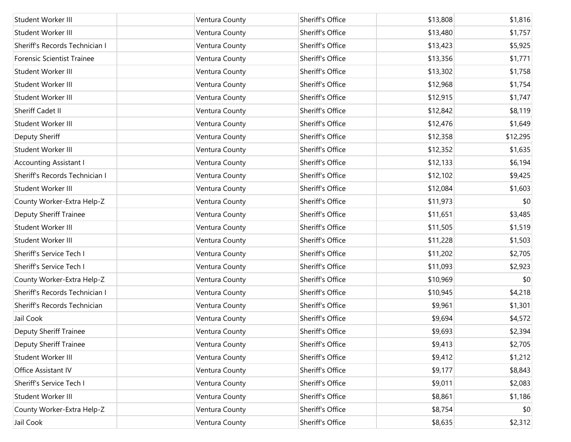| Student Worker III                | Ventura County | Sheriff's Office | \$13,808 | \$1,816  |
|-----------------------------------|----------------|------------------|----------|----------|
| Student Worker III                | Ventura County | Sheriff's Office | \$13,480 | \$1,757  |
| Sheriff's Records Technician I    | Ventura County | Sheriff's Office | \$13,423 | \$5,925  |
| <b>Forensic Scientist Trainee</b> | Ventura County | Sheriff's Office | \$13,356 | \$1,771  |
| Student Worker III                | Ventura County | Sheriff's Office | \$13,302 | \$1,758  |
| Student Worker III                | Ventura County | Sheriff's Office | \$12,968 | \$1,754  |
| Student Worker III                | Ventura County | Sheriff's Office | \$12,915 | \$1,747  |
| Sheriff Cadet II                  | Ventura County | Sheriff's Office | \$12,842 | \$8,119  |
| Student Worker III                | Ventura County | Sheriff's Office | \$12,476 | \$1,649  |
| Deputy Sheriff                    | Ventura County | Sheriff's Office | \$12,358 | \$12,295 |
| Student Worker III                | Ventura County | Sheriff's Office | \$12,352 | \$1,635  |
| <b>Accounting Assistant I</b>     | Ventura County | Sheriff's Office | \$12,133 | \$6,194  |
| Sheriff's Records Technician I    | Ventura County | Sheriff's Office | \$12,102 | \$9,425  |
| Student Worker III                | Ventura County | Sheriff's Office | \$12,084 | \$1,603  |
| County Worker-Extra Help-Z        | Ventura County | Sheriff's Office | \$11,973 | \$0      |
| Deputy Sheriff Trainee            | Ventura County | Sheriff's Office | \$11,651 | \$3,485  |
| Student Worker III                | Ventura County | Sheriff's Office | \$11,505 | \$1,519  |
| Student Worker III                | Ventura County | Sheriff's Office | \$11,228 | \$1,503  |
| Sheriff's Service Tech I          | Ventura County | Sheriff's Office | \$11,202 | \$2,705  |
| Sheriff's Service Tech I          | Ventura County | Sheriff's Office | \$11,093 | \$2,923  |
| County Worker-Extra Help-Z        | Ventura County | Sheriff's Office | \$10,969 | \$0      |
| Sheriff's Records Technician I    | Ventura County | Sheriff's Office | \$10,945 | \$4,218  |
| Sheriff's Records Technician      | Ventura County | Sheriff's Office | \$9,961  | \$1,301  |
| Jail Cook                         | Ventura County | Sheriff's Office | \$9,694  | \$4,572  |
| <b>Deputy Sheriff Trainee</b>     | Ventura County | Sheriff's Office | \$9,693  | \$2,394  |
| Deputy Sheriff Trainee            | Ventura County | Sheriff's Office | \$9,413  | \$2,705  |
| Student Worker III                | Ventura County | Sheriff's Office | \$9,412  | \$1,212  |
| Office Assistant IV               | Ventura County | Sheriff's Office | \$9,177  | \$8,843  |
| Sheriff's Service Tech I          | Ventura County | Sheriff's Office | \$9,011  | \$2,083  |
| Student Worker III                | Ventura County | Sheriff's Office | \$8,861  | \$1,186  |
| County Worker-Extra Help-Z        | Ventura County | Sheriff's Office | \$8,754  | \$0      |
| Jail Cook                         | Ventura County | Sheriff's Office | \$8,635  | \$2,312  |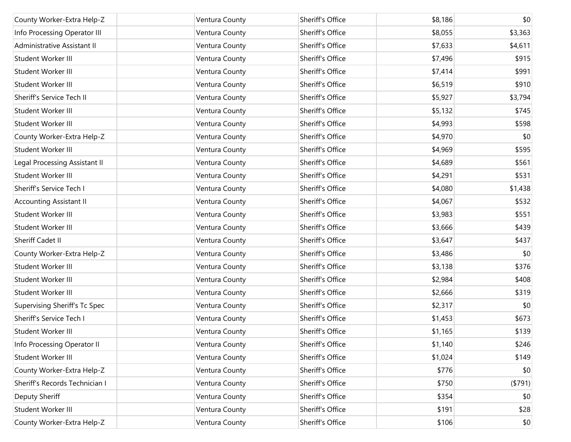| County Worker-Extra Help-Z     | Ventura County | Sheriff's Office | \$8,186 | \$0      |
|--------------------------------|----------------|------------------|---------|----------|
| Info Processing Operator III   | Ventura County | Sheriff's Office | \$8,055 | \$3,363  |
| Administrative Assistant II    | Ventura County | Sheriff's Office | \$7,633 | \$4,611  |
| Student Worker III             | Ventura County | Sheriff's Office | \$7,496 | \$915    |
| Student Worker III             | Ventura County | Sheriff's Office | \$7,414 | \$991    |
| Student Worker III             | Ventura County | Sheriff's Office | \$6,519 | \$910    |
| Sheriff's Service Tech II      | Ventura County | Sheriff's Office | \$5,927 | \$3,794  |
| Student Worker III             | Ventura County | Sheriff's Office | \$5,132 | \$745    |
| Student Worker III             | Ventura County | Sheriff's Office | \$4,993 | \$598    |
| County Worker-Extra Help-Z     | Ventura County | Sheriff's Office | \$4,970 | \$0      |
| Student Worker III             | Ventura County | Sheriff's Office | \$4,969 | \$595    |
| Legal Processing Assistant II  | Ventura County | Sheriff's Office | \$4,689 | \$561    |
| Student Worker III             | Ventura County | Sheriff's Office | \$4,291 | \$531    |
| Sheriff's Service Tech I       | Ventura County | Sheriff's Office | \$4,080 | \$1,438  |
| <b>Accounting Assistant II</b> | Ventura County | Sheriff's Office | \$4,067 | \$532    |
| Student Worker III             | Ventura County | Sheriff's Office | \$3,983 | \$551    |
| Student Worker III             | Ventura County | Sheriff's Office | \$3,666 | \$439    |
| Sheriff Cadet II               | Ventura County | Sheriff's Office | \$3,647 | \$437    |
| County Worker-Extra Help-Z     | Ventura County | Sheriff's Office | \$3,486 | \$0      |
| Student Worker III             | Ventura County | Sheriff's Office | \$3,138 | \$376    |
| Student Worker III             | Ventura County | Sheriff's Office | \$2,984 | \$408    |
| Student Worker III             | Ventura County | Sheriff's Office | \$2,666 | \$319    |
| Supervising Sheriff's Tc Spec  | Ventura County | Sheriff's Office | \$2,317 | \$0      |
| Sheriff's Service Tech I       | Ventura County | Sheriff's Office | \$1,453 | \$673    |
| Student Worker III             | Ventura County | Sheriff's Office | \$1,165 | \$139    |
| Info Processing Operator II    | Ventura County | Sheriff's Office | \$1,140 | \$246    |
| Student Worker III             | Ventura County | Sheriff's Office | \$1,024 | \$149    |
| County Worker-Extra Help-Z     | Ventura County | Sheriff's Office | \$776   | \$0      |
| Sheriff's Records Technician I | Ventura County | Sheriff's Office | \$750   | ( \$791) |
| Deputy Sheriff                 | Ventura County | Sheriff's Office | \$354   | \$0      |
| Student Worker III             | Ventura County | Sheriff's Office | \$191   | \$28     |
| County Worker-Extra Help-Z     | Ventura County | Sheriff's Office | \$106   | \$0      |